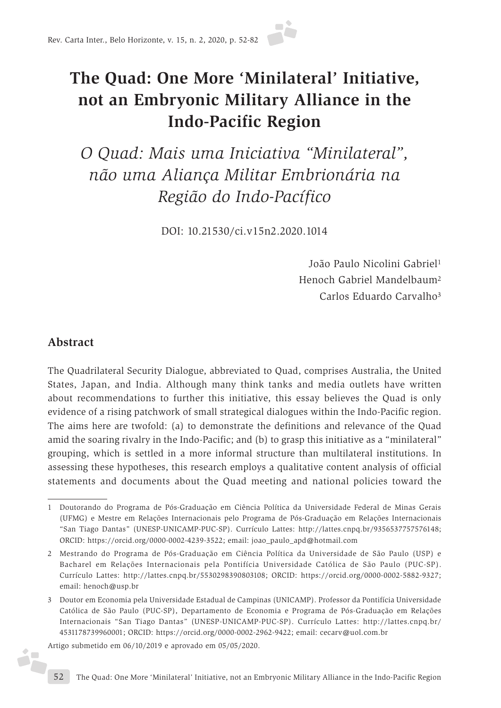

# **The Quad: One More 'Minilateral' Initiative, not an Embryonic Military Alliance in the Indo-Pacific Region**

*O Quad: Mais uma Iniciativa "Minilateral", não uma Aliança Militar Embrionária na Região do Indo-Pacífico*

DOI: 10.21530/ci.v15n2.2020.1014

João Paulo Nicolini Gabriel1 Henoch Gabriel Mandelbaum2 Carlos Eduardo Carvalho3

### **Abstract**

é.

The Quadrilateral Security Dialogue, abbreviated to Quad, comprises Australia, the United States, Japan, and India. Although many think tanks and media outlets have written about recommendations to further this initiative, this essay believes the Quad is only evidence of a rising patchwork of small strategical dialogues within the Indo-Pacific region. The aims here are twofold: (a) to demonstrate the definitions and relevance of the Quad amid the soaring rivalry in the Indo-Pacific; and (b) to grasp this initiative as a "minilateral" grouping, which is settled in a more informal structure than multilateral institutions. In assessing these hypotheses, this research employs a qualitative content analysis of official statements and documents about the Quad meeting and national policies toward the

Artigo submetido em 06/10/2019 e aprovado em 05/05/2020.

<sup>1</sup> Doutorando do Programa de Pós-Graduação em Ciência Política da Universidade Federal de Minas Gerais (UFMG) e Mestre em Relações Internacionais pelo Programa de Pós-Graduação em Relações Internacionais "San Tiago Dantas" (UNESP-UNICAMP-PUC-SP). Currículo Lattes: http://lattes.cnpq.br/9356537757576148; ORCID: https://orcid.org/0000-0002-4239-3522; email: joao\_paulo\_apd@hotmail.com

<sup>2</sup> Mestrando do Programa de Pós-Graduação em Ciência Política da Universidade de São Paulo (USP) e Bacharel em Relações Internacionais pela Pontifícia Universidade Católica de São Paulo (PUC-SP). Currículo Lattes: http://lattes.cnpq.br/5530298390803108; ORCID: https://orcid.org/0000-0002-5882-9327; email: henoch@usp.br

<sup>3</sup> Doutor em Economia pela Universidade Estadual de Campinas (UNICAMP). Professor da Pontifícia Universidade Católica de São Paulo (PUC-SP), Departamento de Economia e Programa de Pós-Graduação em Relações Internacionais "San Tiago Dantas" (UNESP-UNICAMP-PUC-SP). Currículo Lattes: http://lattes.cnpq.br/ 4531178739960001; ORCID: https://orcid.org/0000-0002-2962-9422; email: cecarv@uol.com.br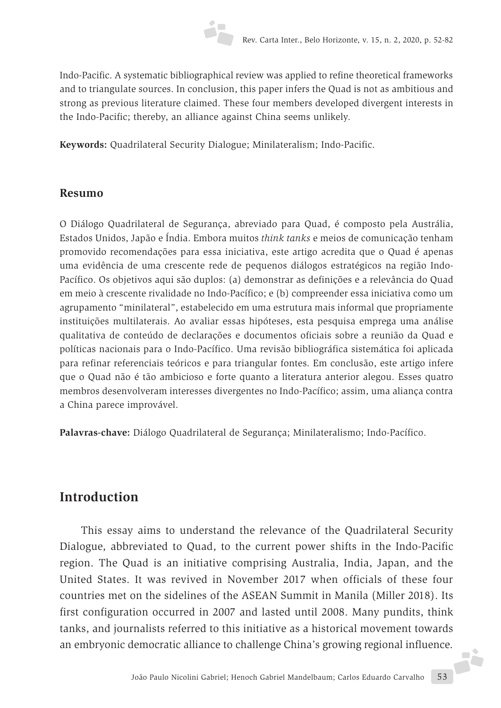

Indo-Pacific. A systematic bibliographical review was applied to refine theoretical frameworks and to triangulate sources. In conclusion, this paper infers the Quad is not as ambitious and strong as previous literature claimed. These four members developed divergent interests in the Indo-Pacific; thereby, an alliance against China seems unlikely.

**Keywords:** Quadrilateral Security Dialogue; Minilateralism; Indo-Pacific.

#### **Resumo**

O Diálogo Quadrilateral de Segurança, abreviado para Quad, é composto pela Austrália, Estados Unidos, Japão e Índia. Embora muitos *think tanks* e meios de comunicação tenham promovido recomendações para essa iniciativa, este artigo acredita que o Quad é apenas uma evidência de uma crescente rede de pequenos diálogos estratégicos na região Indo-Pacífico. Os objetivos aqui são duplos: (a) demonstrar as definições e a relevância do Quad em meio à crescente rivalidade no Indo-Pacífico; e (b) compreender essa iniciativa como um agrupamento "minilateral", estabelecido em uma estrutura mais informal que propriamente instituições multilaterais. Ao avaliar essas hipóteses, esta pesquisa emprega uma análise qualitativa de conteúdo de declarações e documentos oficiais sobre a reunião da Quad e políticas nacionais para o Indo-Pacífico. Uma revisão bibliográfica sistemática foi aplicada para refinar referenciais teóricos e para triangular fontes. Em conclusão, este artigo infere que o Quad não é tão ambicioso e forte quanto a literatura anterior alegou. Esses quatro membros desenvolveram interesses divergentes no Indo-Pacífico; assim, uma aliança contra a China parece improvável.

**Palavras-chave:** Diálogo Quadrilateral de Segurança; Minilateralismo; Indo-Pacífico.

### **Introduction**

João Paulo Nicolini Gabriel; Henoch Gabriel Mandelbaum; Carlos Eduardo Carvalho 53 This essay aims to understand the relevance of the Quadrilateral Security Dialogue, abbreviated to Quad, to the current power shifts in the Indo-Pacific region. The Quad is an initiative comprising Australia, India, Japan, and the United States. It was revived in November 2017 when officials of these four countries met on the sidelines of the ASEAN Summit in Manila (Miller 2018). Its first configuration occurred in 2007 and lasted until 2008. Many pundits, think tanks, and journalists referred to this initiative as a historical movement towards an embryonic democratic alliance to challenge China's growing regional influence.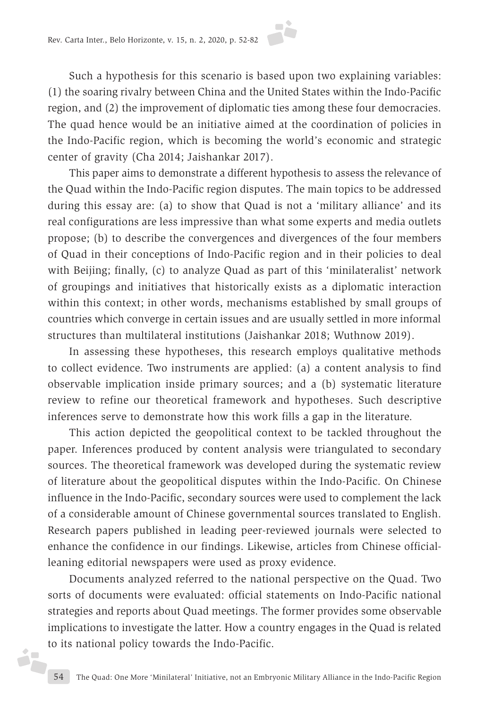

Such a hypothesis for this scenario is based upon two explaining variables: (1) the soaring rivalry between China and the United States within the Indo-Pacific region, and (2) the improvement of diplomatic ties among these four democracies. The quad hence would be an initiative aimed at the coordination of policies in the Indo-Pacific region, which is becoming the world's economic and strategic center of gravity (Cha 2014; Jaishankar 2017).

This paper aims to demonstrate a different hypothesis to assess the relevance of the Quad within the Indo-Pacific region disputes. The main topics to be addressed during this essay are: (a) to show that Quad is not a 'military alliance' and its real configurations are less impressive than what some experts and media outlets propose; (b) to describe the convergences and divergences of the four members of Quad in their conceptions of Indo-Pacific region and in their policies to deal with Beijing; finally, (c) to analyze Quad as part of this 'minilateralist' network of groupings and initiatives that historically exists as a diplomatic interaction within this context; in other words, mechanisms established by small groups of countries which converge in certain issues and are usually settled in more informal structures than multilateral institutions (Jaishankar 2018; Wuthnow 2019).

In assessing these hypotheses, this research employs qualitative methods to collect evidence. Two instruments are applied: (a) a content analysis to find observable implication inside primary sources; and a (b) systematic literature review to refine our theoretical framework and hypotheses. Such descriptive inferences serve to demonstrate how this work fills a gap in the literature.

This action depicted the geopolitical context to be tackled throughout the paper. Inferences produced by content analysis were triangulated to secondary sources. The theoretical framework was developed during the systematic review of literature about the geopolitical disputes within the Indo-Pacific. On Chinese influence in the Indo-Pacific, secondary sources were used to complement the lack of a considerable amount of Chinese governmental sources translated to English. Research papers published in leading peer-reviewed journals were selected to enhance the confidence in our findings. Likewise, articles from Chinese officialleaning editorial newspapers were used as proxy evidence.

Documents analyzed referred to the national perspective on the Quad. Two sorts of documents were evaluated: official statements on Indo-Pacific national strategies and reports about Quad meetings. The former provides some observable implications to investigate the latter. How a country engages in the Quad is related to its national policy towards the Indo-Pacific.

j.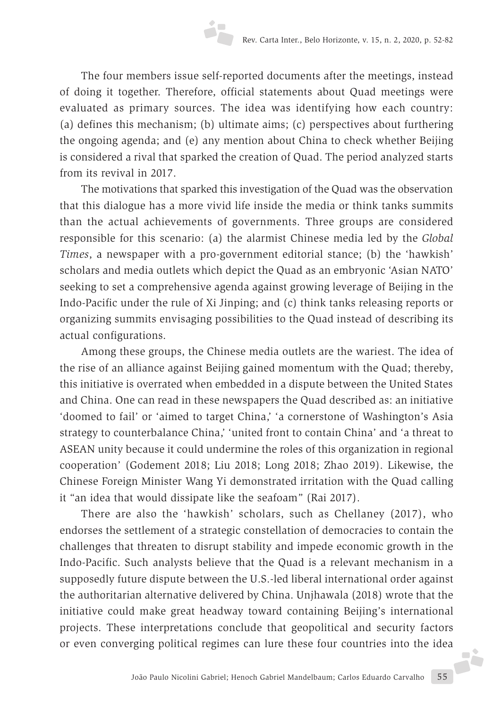The four members issue self-reported documents after the meetings, instead of doing it together. Therefore, official statements about Quad meetings were evaluated as primary sources. The idea was identifying how each country: (a) defines this mechanism; (b) ultimate aims; (c) perspectives about furthering the ongoing agenda; and (e) any mention about China to check whether Beijing is considered a rival that sparked the creation of Quad. The period analyzed starts from its revival in 2017.

The motivations that sparked this investigation of the Quad was the observation that this dialogue has a more vivid life inside the media or think tanks summits than the actual achievements of governments. Three groups are considered responsible for this scenario: (a) the alarmist Chinese media led by the *Global Times*, a newspaper with a pro-government editorial stance; (b) the 'hawkish' scholars and media outlets which depict the Quad as an embryonic 'Asian NATO' seeking to set a comprehensive agenda against growing leverage of Beijing in the Indo-Pacific under the rule of Xi Jinping; and (c) think tanks releasing reports or organizing summits envisaging possibilities to the Quad instead of describing its actual configurations.

Among these groups, the Chinese media outlets are the wariest. The idea of the rise of an alliance against Beijing gained momentum with the Quad; thereby, this initiative is overrated when embedded in a dispute between the United States and China. One can read in these newspapers the Quad described as: an initiative 'doomed to fail' or 'aimed to target China,' 'a cornerstone of Washington's Asia strategy to counterbalance China,' 'united front to contain China' and 'a threat to ASEAN unity because it could undermine the roles of this organization in regional cooperation' (Godement 2018; Liu 2018; Long 2018; Zhao 2019). Likewise, the Chinese Foreign Minister Wang Yi demonstrated irritation with the Quad calling it "an idea that would dissipate like the seafoam" (Rai 2017).

João Paulo Nicolini Gabriel; Henoch Gabriel Mandelbaum; Carlos Eduardo Carvalho 55 There are also the 'hawkish' scholars, such as Chellaney (2017), who endorses the settlement of a strategic constellation of democracies to contain the challenges that threaten to disrupt stability and impede economic growth in the Indo-Pacific. Such analysts believe that the Quad is a relevant mechanism in a supposedly future dispute between the U.S.-led liberal international order against the authoritarian alternative delivered by China. Unjhawala (2018) wrote that the initiative could make great headway toward containing Beijing's international projects. These interpretations conclude that geopolitical and security factors or even converging political regimes can lure these four countries into the idea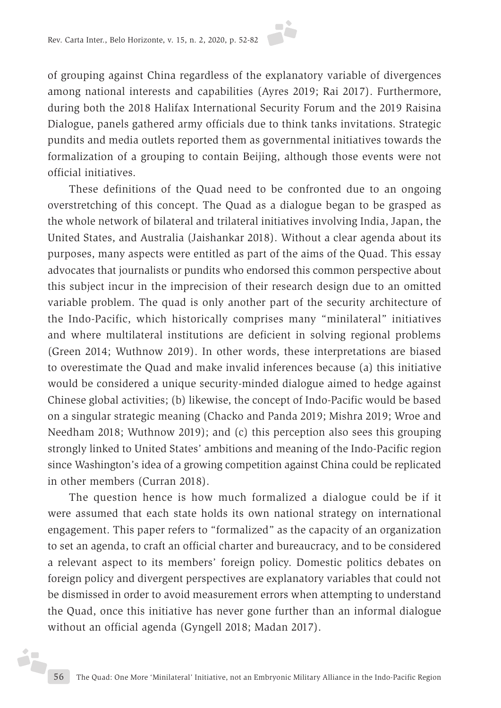

of grouping against China regardless of the explanatory variable of divergences among national interests and capabilities (Ayres 2019; Rai 2017). Furthermore, during both the 2018 Halifax International Security Forum and the 2019 Raisina Dialogue, panels gathered army officials due to think tanks invitations. Strategic pundits and media outlets reported them as governmental initiatives towards the formalization of a grouping to contain Beijing, although those events were not official initiatives.

These definitions of the Quad need to be confronted due to an ongoing overstretching of this concept. The Quad as a dialogue began to be grasped as the whole network of bilateral and trilateral initiatives involving India, Japan, the United States, and Australia (Jaishankar 2018). Without a clear agenda about its purposes, many aspects were entitled as part of the aims of the Quad. This essay advocates that journalists or pundits who endorsed this common perspective about this subject incur in the imprecision of their research design due to an omitted variable problem. The quad is only another part of the security architecture of the Indo-Pacific, which historically comprises many "minilateral" initiatives and where multilateral institutions are deficient in solving regional problems (Green 2014; Wuthnow 2019). In other words, these interpretations are biased to overestimate the Quad and make invalid inferences because (a) this initiative would be considered a unique security-minded dialogue aimed to hedge against Chinese global activities; (b) likewise, the concept of Indo-Pacific would be based on a singular strategic meaning (Chacko and Panda 2019; Mishra 2019; Wroe and Needham 2018; Wuthnow 2019); and (c) this perception also sees this grouping strongly linked to United States' ambitions and meaning of the Indo-Pacific region since Washington's idea of a growing competition against China could be replicated in other members (Curran 2018).

The question hence is how much formalized a dialogue could be if it were assumed that each state holds its own national strategy on international engagement. This paper refers to "formalized" as the capacity of an organization to set an agenda, to craft an official charter and bureaucracy, and to be considered a relevant aspect to its members' foreign policy. Domestic politics debates on foreign policy and divergent perspectives are explanatory variables that could not be dismissed in order to avoid measurement errors when attempting to understand the Quad, once this initiative has never gone further than an informal dialogue without an official agenda (Gyngell 2018; Madan 2017).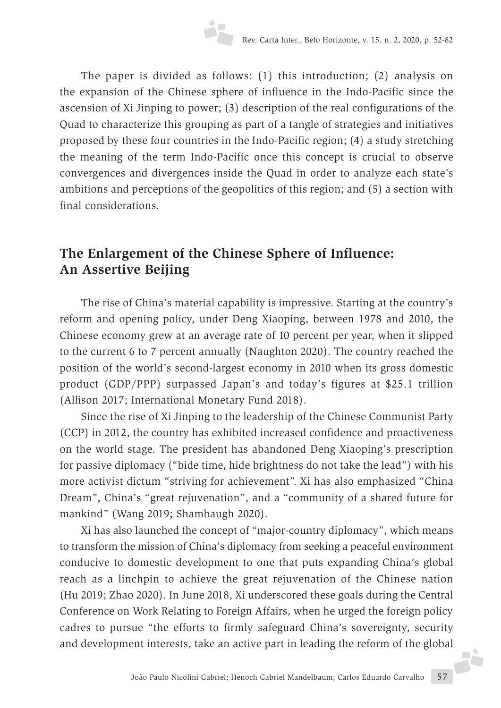The paper is divided as follows: (1) this introduction; (2) analysis on the expansion of the Chinese sphere of influence in the Indo-Pacific since the ascension of Xi Jinping to power; (3) description of the real configurations of the Quad to characterize this grouping as part of a tangle of strategies and initiatives proposed by these four countries in the Indo-Pacific region; (4) a study stretching the meaning of the term Indo-Pacific once this concept is crucial to observe convergences and divergences inside the Quad in order to analyze each state's ambitions and perceptions of the geopolitics of this region; and (5) a section with final considerations.

## **The Enlargement of the Chinese Sphere of Influence: An Assertive Beijing**

The rise of China's material capability is impressive. Starting at the country's reform and opening policy, under Deng Xiaoping, between 1978 and 2010, the Chinese economy grew at an average rate of 10 percent per year, when it slipped to the current 6 to 7 percent annually (Naughton 2020). The country reached the position of the world's second-largest economy in 2010 when its gross domestic product (GDP/PPP) surpassed Japan's and today's figures at \$25.1 trillion (Allison 2017; International Monetary Fund 2018).

Since the rise of Xi Jinping to the leadership of the Chinese Communist Party (CCP) in 2012, the country has exhibited increased confidence and proactiveness on the world stage. The president has abandoned Deng Xiaoping's prescription for passive diplomacy ("bide time, hide brightness do not take the lead") with his more activist dictum "striving for achievement". Xi has also emphasized "China Dream", China's "great rejuvenation", and a "community of a shared future for mankind" (Wang 2019; Shambaugh 2020).

Xi has also launched the concept of "major-country diplomacy", which means to transform the mission of China's diplomacy from seeking a peaceful environment conducive to domestic development to one that puts expanding China's global reach as a linchpin to achieve the great rejuvenation of the Chinese nation (Hu 2019; Zhao 2020). In June 2018, Xi underscored these goals during the Central Conference on Work Relating to Foreign Affairs, when he urged the foreign policy cadres to pursue "the efforts to firmly safeguard China's sovereignty, security and development interests, take an active part in leading the reform of the global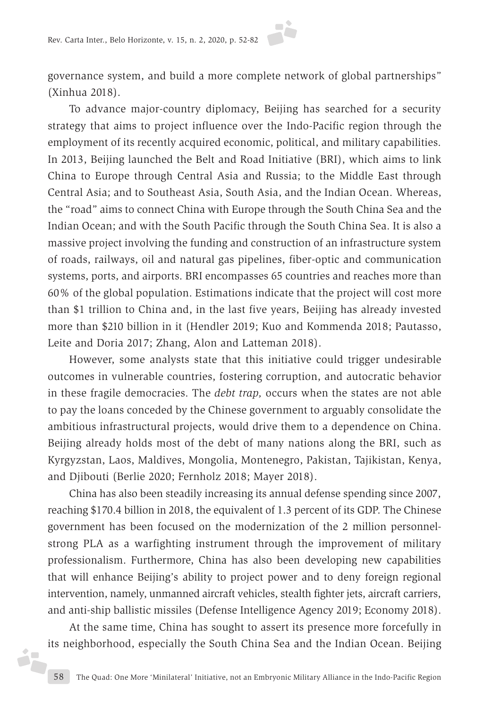

governance system, and build a more complete network of global partnerships" (Xinhua 2018).

To advance major-country diplomacy, Beijing has searched for a security strategy that aims to project influence over the Indo-Pacific region through the employment of its recently acquired economic, political, and military capabilities. In 2013, Beijing launched the Belt and Road Initiative (BRI), which aims to link China to Europe through Central Asia and Russia; to the Middle East through Central Asia; and to Southeast Asia, South Asia, and the Indian Ocean. Whereas, the "road" aims to connect China with Europe through the South China Sea and the Indian Ocean; and with the South Pacific through the South China Sea. It is also a massive project involving the funding and construction of an infrastructure system of roads, railways, oil and natural gas pipelines, fiber-optic and communication systems, ports, and airports. BRI encompasses 65 countries and reaches more than 60% of the global population. Estimations indicate that the project will cost more than \$1 trillion to China and, in the last five years, Beijing has already invested more than \$210 billion in it (Hendler 2019; Kuo and Kommenda 2018; Pautasso, Leite and Doria 2017; Zhang, Alon and Latteman 2018).

However, some analysts state that this initiative could trigger undesirable outcomes in vulnerable countries, fostering corruption, and autocratic behavior in these fragile democracies. The *debt trap,* occurs when the states are not able to pay the loans conceded by the Chinese government to arguably consolidate the ambitious infrastructural projects, would drive them to a dependence on China. Beijing already holds most of the debt of many nations along the BRI, such as Kyrgyzstan, Laos, Maldives, Mongolia, Montenegro, Pakistan, Tajikistan, Kenya, and Djibouti (Berlie 2020; Fernholz 2018; Mayer 2018).

China has also been steadily increasing its annual defense spending since 2007, reaching \$170.4 billion in 2018, the equivalent of 1.3 percent of its GDP. The Chinese government has been focused on the modernization of the 2 million personnelstrong PLA as a warfighting instrument through the improvement of military professionalism. Furthermore, China has also been developing new capabilities that will enhance Beijing's ability to project power and to deny foreign regional intervention, namely, unmanned aircraft vehicles, stealth fighter jets, aircraft carriers, and anti-ship ballistic missiles (Defense Intelligence Agency 2019; Economy 2018).

At the same time, China has sought to assert its presence more forcefully in its neighborhood, especially the South China Sea and the Indian Ocean. Beijing iz,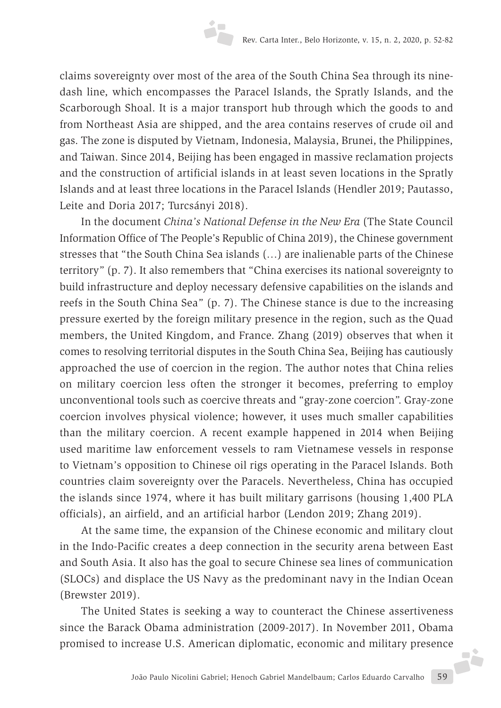claims sovereignty over most of the area of the South China Sea through its ninedash line, which encompasses the Paracel Islands, the Spratly Islands, and the Scarborough Shoal. It is a major transport hub through which the goods to and from Northeast Asia are shipped, and the area contains reserves of crude oil and gas. The zone is disputed by Vietnam, Indonesia, Malaysia, Brunei, the Philippines, and Taiwan. Since 2014, Beijing has been engaged in massive reclamation projects and the construction of artificial islands in at least seven locations in the Spratly Islands and at least three locations in the Paracel Islands (Hendler 2019; Pautasso, Leite and Doria 2017; Turcsányi 2018).

In the document *China's National Defense in the New Era* (The State Council Information Office of The People's Republic of China 2019), the Chinese government stresses that "the South China Sea islands (…) are inalienable parts of the Chinese territory" (p. 7). It also remembers that "China exercises its national sovereignty to build infrastructure and deploy necessary defensive capabilities on the islands and reefs in the South China Sea" (p. 7). The Chinese stance is due to the increasing pressure exerted by the foreign military presence in the region, such as the Quad members, the United Kingdom, and France. Zhang (2019) observes that when it comes to resolving territorial disputes in the South China Sea, Beijing has cautiously approached the use of coercion in the region. The author notes that China relies on military coercion less often the stronger it becomes, preferring to employ unconventional tools such as coercive threats and "gray-zone coercion". Gray-zone coercion involves physical violence; however, it uses much smaller capabilities than the military coercion. A recent example happened in 2014 when Beijing used maritime law enforcement vessels to ram Vietnamese vessels in response to Vietnam's opposition to Chinese oil rigs operating in the Paracel Islands. Both countries claim sovereignty over the Paracels. Nevertheless, China has occupied the islands since 1974, where it has built military garrisons (housing 1,400 PLA officials), an airfield, and an artificial harbor (Lendon 2019; Zhang 2019).

At the same time, the expansion of the Chinese economic and military clout in the Indo-Pacific creates a deep connection in the security arena between East and South Asia. It also has the goal to secure Chinese sea lines of communication (SLOCs) and displace the US Navy as the predominant navy in the Indian Ocean (Brewster 2019).

João Paulo Nicolini Gabriel; Henoch Gabriel Mandelbaum; Carlos Eduardo Carvalho 59 The United States is seeking a way to counteract the Chinese assertiveness since the Barack Obama administration (2009-2017). In November 2011, Obama promised to increase U.S. American diplomatic, economic and military presence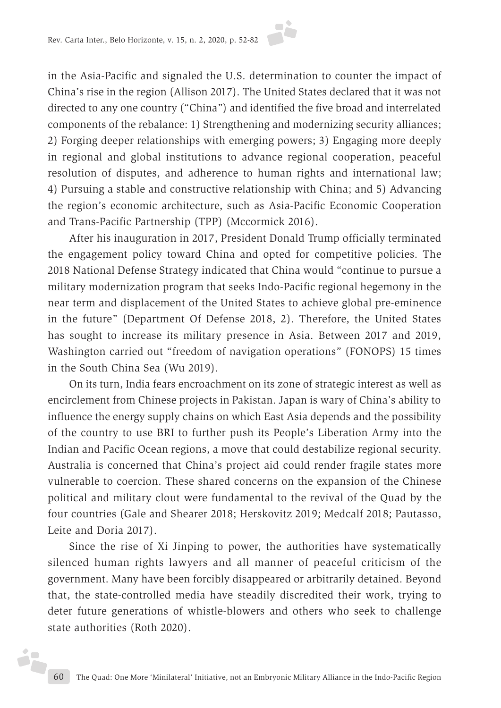in the Asia-Pacific and signaled the U.S. determination to counter the impact of China's rise in the region (Allison 2017). The United States declared that it was not directed to any one country ("China") and identified the five broad and interrelated components of the rebalance: 1) Strengthening and modernizing security alliances; 2) Forging deeper relationships with emerging powers; 3) Engaging more deeply in regional and global institutions to advance regional cooperation, peaceful resolution of disputes, and adherence to human rights and international law; 4) Pursuing a stable and constructive relationship with China; and 5) Advancing the region's economic architecture, such as Asia-Pacific Economic Cooperation and Trans-Pacific Partnership (TPP) (Mccormick 2016).

After his inauguration in 2017, President Donald Trump officially terminated the engagement policy toward China and opted for competitive policies. The 2018 National Defense Strategy indicated that China would "continue to pursue a military modernization program that seeks Indo-Pacific regional hegemony in the near term and displacement of the United States to achieve global pre-eminence in the future" (Department Of Defense 2018, 2). Therefore, the United States has sought to increase its military presence in Asia. Between 2017 and 2019, Washington carried out "freedom of navigation operations" (FONOPS) 15 times in the South China Sea (Wu 2019).

On its turn, India fears encroachment on its zone of strategic interest as well as encirclement from Chinese projects in Pakistan. Japan is wary of China's ability to influence the energy supply chains on which East Asia depends and the possibility of the country to use BRI to further push its People's Liberation Army into the Indian and Pacific Ocean regions, a move that could destabilize regional security. Australia is concerned that China's project aid could render fragile states more vulnerable to coercion. These shared concerns on the expansion of the Chinese political and military clout were fundamental to the revival of the Quad by the four countries (Gale and Shearer 2018; Herskovitz 2019; Medcalf 2018; Pautasso, Leite and Doria 2017).

Since the rise of Xi Jinping to power, the authorities have systematically silenced human rights lawyers and all manner of peaceful criticism of the government. Many have been forcibly disappeared or arbitrarily detained. Beyond that, the state-controlled media have steadily discredited their work, trying to deter future generations of whistle-blowers and others who seek to challenge state authorities (Roth 2020).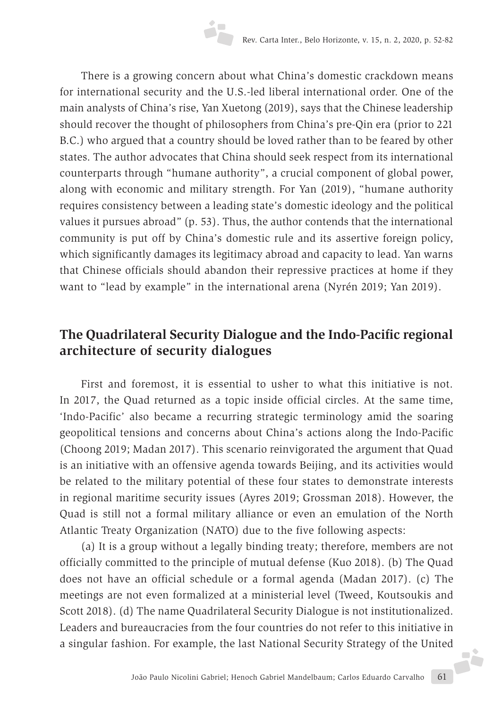There is a growing concern about what China's domestic crackdown means for international security and the U.S.-led liberal international order. One of the main analysts of China's rise, Yan Xuetong (2019), says that the Chinese leadership should recover the thought of philosophers from China's pre-Qin era (prior to 221 B.C.) who argued that a country should be loved rather than to be feared by other states. The author advocates that China should seek respect from its international counterparts through "humane authority", a crucial component of global power, along with economic and military strength. For Yan (2019), "humane authority requires consistency between a leading state's domestic ideology and the political values it pursues abroad" (p. 53). Thus, the author contends that the international community is put off by China's domestic rule and its assertive foreign policy, which significantly damages its legitimacy abroad and capacity to lead. Yan warns that Chinese officials should abandon their repressive practices at home if they want to "lead by example" in the international arena (Nyrén 2019; Yan 2019).

## **The Quadrilateral Security Dialogue and the Indo-Pacific regional architecture of security dialogues**

First and foremost, it is essential to usher to what this initiative is not. In 2017, the Quad returned as a topic inside official circles. At the same time, 'Indo-Pacific' also became a recurring strategic terminology amid the soaring geopolitical tensions and concerns about China's actions along the Indo-Pacific (Choong 2019; Madan 2017). This scenario reinvigorated the argument that Quad is an initiative with an offensive agenda towards Beijing, and its activities would be related to the military potential of these four states to demonstrate interests in regional maritime security issues (Ayres 2019; Grossman 2018). However, the Quad is still not a formal military alliance or even an emulation of the North Atlantic Treaty Organization (NATO) due to the five following aspects:

(a) It is a group without a legally binding treaty; therefore, members are not officially committed to the principle of mutual defense (Kuo 2018). (b) The Quad does not have an official schedule or a formal agenda (Madan 2017). (c) The meetings are not even formalized at a ministerial level (Tweed, Koutsoukis and Scott 2018). (d) The name Quadrilateral Security Dialogue is not institutionalized. Leaders and bureaucracies from the four countries do not refer to this initiative in a singular fashion. For example, the last National Security Strategy of the United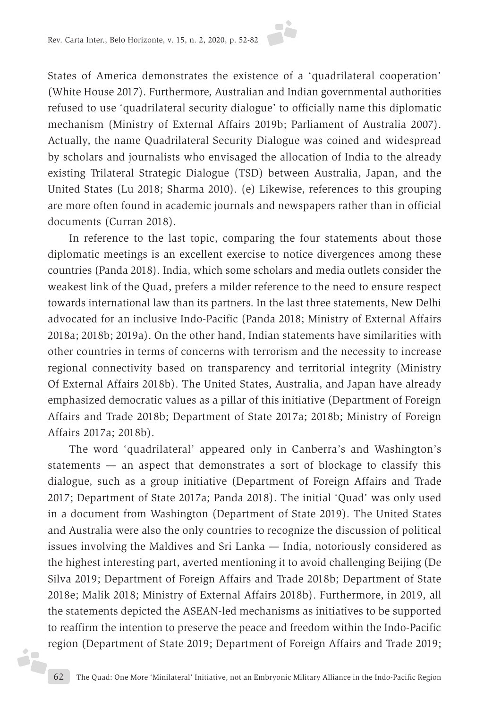

States of America demonstrates the existence of a 'quadrilateral cooperation' (White House 2017). Furthermore, Australian and Indian governmental authorities refused to use 'quadrilateral security dialogue' to officially name this diplomatic mechanism (Ministry of External Affairs 2019b; Parliament of Australia 2007). Actually, the name Quadrilateral Security Dialogue was coined and widespread by scholars and journalists who envisaged the allocation of India to the already existing Trilateral Strategic Dialogue (TSD) between Australia, Japan, and the United States (Lu 2018; Sharma 2010). (e) Likewise, references to this grouping are more often found in academic journals and newspapers rather than in official documents (Curran 2018).

In reference to the last topic, comparing the four statements about those diplomatic meetings is an excellent exercise to notice divergences among these countries (Panda 2018). India, which some scholars and media outlets consider the weakest link of the Quad, prefers a milder reference to the need to ensure respect towards international law than its partners. In the last three statements, New Delhi advocated for an inclusive Indo-Pacific (Panda 2018; Ministry of External Affairs 2018a; 2018b; 2019a). On the other hand, Indian statements have similarities with other countries in terms of concerns with terrorism and the necessity to increase regional connectivity based on transparency and territorial integrity (Ministry Of External Affairs 2018b). The United States, Australia, and Japan have already emphasized democratic values as a pillar of this initiative (Department of Foreign Affairs and Trade 2018b; Department of State 2017a; 2018b; Ministry of Foreign Affairs 2017a; 2018b).

The word 'quadrilateral' appeared only in Canberra's and Washington's statements — an aspect that demonstrates a sort of blockage to classify this dialogue, such as a group initiative (Department of Foreign Affairs and Trade 2017; Department of State 2017a; Panda 2018). The initial 'Quad' was only used in a document from Washington (Department of State 2019). The United States and Australia were also the only countries to recognize the discussion of political issues involving the Maldives and Sri Lanka — India, notoriously considered as the highest interesting part, averted mentioning it to avoid challenging Beijing (De Silva 2019; Department of Foreign Affairs and Trade 2018b; Department of State 2018e; Malik 2018; Ministry of External Affairs 2018b). Furthermore, in 2019, all the statements depicted the ASEAN-led mechanisms as initiatives to be supported to reaffirm the intention to preserve the peace and freedom within the Indo-Pacific region (Department of State 2019; Department of Foreign Affairs and Trade 2019;

j.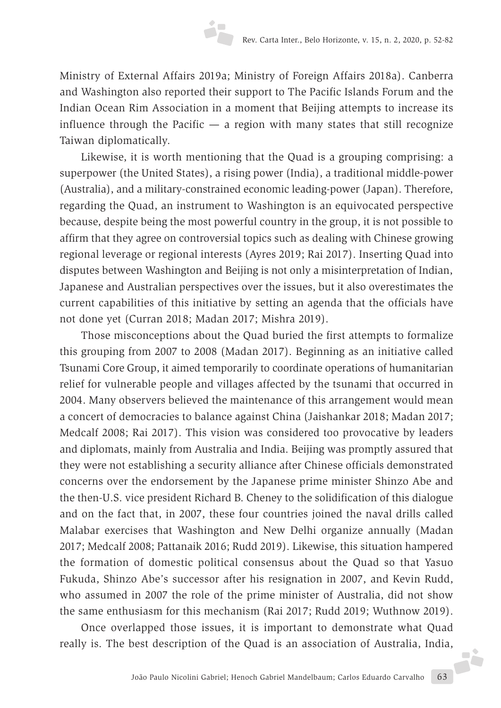Ministry of External Affairs 2019a; Ministry of Foreign Affairs 2018a). Canberra and Washington also reported their support to The Pacific Islands Forum and the Indian Ocean Rim Association in a moment that Beijing attempts to increase its influence through the Pacific  $-$  a region with many states that still recognize Taiwan diplomatically.

Likewise, it is worth mentioning that the Quad is a grouping comprising: a superpower (the United States), a rising power (India), a traditional middle-power (Australia), and a military-constrained economic leading-power (Japan). Therefore, regarding the Quad, an instrument to Washington is an equivocated perspective because, despite being the most powerful country in the group, it is not possible to affirm that they agree on controversial topics such as dealing with Chinese growing regional leverage or regional interests (Ayres 2019; Rai 2017). Inserting Quad into disputes between Washington and Beijing is not only a misinterpretation of Indian, Japanese and Australian perspectives over the issues, but it also overestimates the current capabilities of this initiative by setting an agenda that the officials have not done yet (Curran 2018; Madan 2017; Mishra 2019).

Those misconceptions about the Quad buried the first attempts to formalize this grouping from 2007 to 2008 (Madan 2017). Beginning as an initiative called Tsunami Core Group, it aimed temporarily to coordinate operations of humanitarian relief for vulnerable people and villages affected by the tsunami that occurred in 2004. Many observers believed the maintenance of this arrangement would mean a concert of democracies to balance against China (Jaishankar 2018; Madan 2017; Medcalf 2008; Rai 2017). This vision was considered too provocative by leaders and diplomats, mainly from Australia and India. Beijing was promptly assured that they were not establishing a security alliance after Chinese officials demonstrated concerns over the endorsement by the Japanese prime minister Shinzo Abe and the then-U.S. vice president Richard B. Cheney to the solidification of this dialogue and on the fact that, in 2007, these four countries joined the naval drills called Malabar exercises that Washington and New Delhi organize annually (Madan 2017; Medcalf 2008; Pattanaik 2016; Rudd 2019). Likewise, this situation hampered the formation of domestic political consensus about the Quad so that Yasuo Fukuda, Shinzo Abe's successor after his resignation in 2007, and Kevin Rudd, who assumed in 2007 the role of the prime minister of Australia, did not show the same enthusiasm for this mechanism (Rai 2017; Rudd 2019; Wuthnow 2019).

João Paulo Nicolini Gabriel; Henoch Gabriel Mandelbaum; Carlos Eduardo Carvalho 63 Once overlapped those issues, it is important to demonstrate what Quad really is. The best description of the Quad is an association of Australia, India,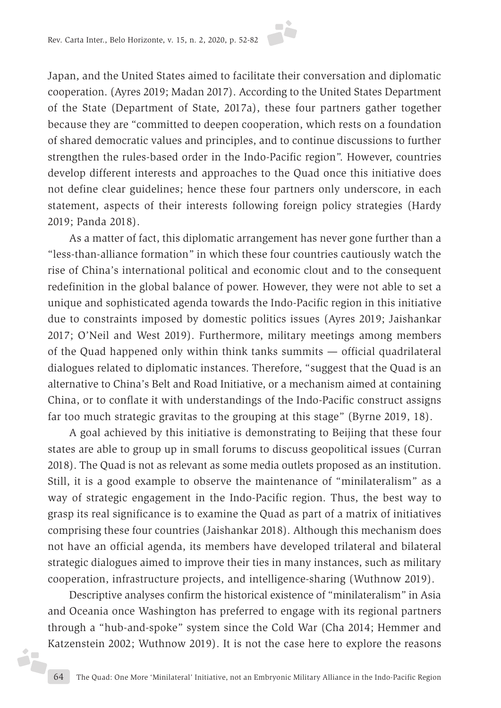

Japan, and the United States aimed to facilitate their conversation and diplomatic cooperation. (Ayres 2019; Madan 2017). According to the United States Department of the State (Department of State, 2017a), these four partners gather together because they are "committed to deepen cooperation, which rests on a foundation of shared democratic values and principles, and to continue discussions to further strengthen the rules-based order in the Indo-Pacific region". However, countries develop different interests and approaches to the Quad once this initiative does not define clear guidelines; hence these four partners only underscore, in each statement, aspects of their interests following foreign policy strategies (Hardy 2019; Panda 2018).

As a matter of fact, this diplomatic arrangement has never gone further than a "less-than-alliance formation" in which these four countries cautiously watch the rise of China's international political and economic clout and to the consequent redefinition in the global balance of power. However, they were not able to set a unique and sophisticated agenda towards the Indo-Pacific region in this initiative due to constraints imposed by domestic politics issues (Ayres 2019; Jaishankar 2017; O'Neil and West 2019). Furthermore, military meetings among members of the Quad happened only within think tanks summits — official quadrilateral dialogues related to diplomatic instances. Therefore, "suggest that the Quad is an alternative to China's Belt and Road Initiative, or a mechanism aimed at containing China, or to conflate it with understandings of the Indo-Pacific construct assigns far too much strategic gravitas to the grouping at this stage" (Byrne 2019, 18).

A goal achieved by this initiative is demonstrating to Beijing that these four states are able to group up in small forums to discuss geopolitical issues (Curran 2018). The Quad is not as relevant as some media outlets proposed as an institution. Still, it is a good example to observe the maintenance of "minilateralism" as a way of strategic engagement in the Indo-Pacific region. Thus, the best way to grasp its real significance is to examine the Quad as part of a matrix of initiatives comprising these four countries (Jaishankar 2018). Although this mechanism does not have an official agenda, its members have developed trilateral and bilateral strategic dialogues aimed to improve their ties in many instances, such as military cooperation, infrastructure projects, and intelligence-sharing (Wuthnow 2019).

Descriptive analyses confirm the historical existence of "minilateralism" in Asia and Oceania once Washington has preferred to engage with its regional partners through a "hub-and-spoke" system since the Cold War (Cha 2014; Hemmer and Katzenstein 2002; Wuthnow 2019). It is not the case here to explore the reasons

i<sub>r</sub>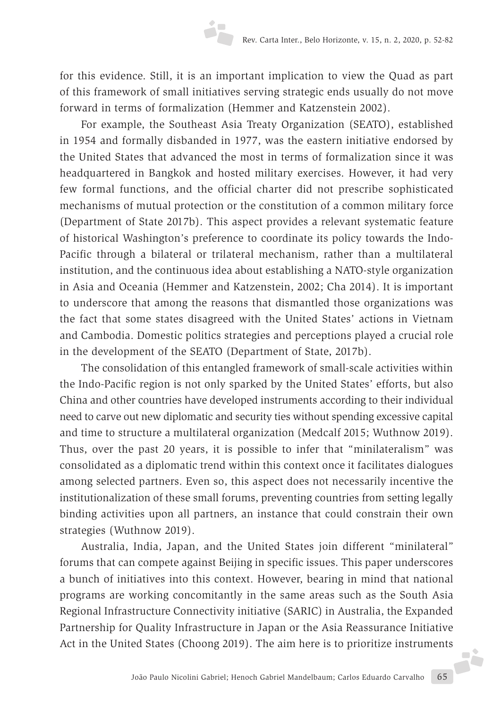for this evidence. Still, it is an important implication to view the Quad as part of this framework of small initiatives serving strategic ends usually do not move forward in terms of formalization (Hemmer and Katzenstein 2002).

For example, the Southeast Asia Treaty Organization (SEATO), established in 1954 and formally disbanded in 1977, was the eastern initiative endorsed by the United States that advanced the most in terms of formalization since it was headquartered in Bangkok and hosted military exercises. However, it had very few formal functions, and the official charter did not prescribe sophisticated mechanisms of mutual protection or the constitution of a common military force (Department of State 2017b). This aspect provides a relevant systematic feature of historical Washington's preference to coordinate its policy towards the Indo-Pacific through a bilateral or trilateral mechanism, rather than a multilateral institution, and the continuous idea about establishing a NATO-style organization in Asia and Oceania (Hemmer and Katzenstein, 2002; Cha 2014). It is important to underscore that among the reasons that dismantled those organizations was the fact that some states disagreed with the United States' actions in Vietnam and Cambodia. Domestic politics strategies and perceptions played a crucial role in the development of the SEATO (Department of State, 2017b).

The consolidation of this entangled framework of small-scale activities within the Indo-Pacific region is not only sparked by the United States' efforts, but also China and other countries have developed instruments according to their individual need to carve out new diplomatic and security ties without spending excessive capital and time to structure a multilateral organization (Medcalf 2015; Wuthnow 2019). Thus, over the past 20 years, it is possible to infer that "minilateralism" was consolidated as a diplomatic trend within this context once it facilitates dialogues among selected partners. Even so, this aspect does not necessarily incentive the institutionalization of these small forums, preventing countries from setting legally binding activities upon all partners, an instance that could constrain their own strategies (Wuthnow 2019).

João Paulo Nicolini Gabriel; Henoch Gabriel Mandelbaum; Carlos Eduardo Carvalho 65 Australia, India, Japan, and the United States join different "minilateral" forums that can compete against Beijing in specific issues. This paper underscores a bunch of initiatives into this context. However, bearing in mind that national programs are working concomitantly in the same areas such as the South Asia Regional Infrastructure Connectivity initiative (SARIC) in Australia, the Expanded Partnership for Quality Infrastructure in Japan or the Asia Reassurance Initiative Act in the United States (Choong 2019). The aim here is to prioritize instruments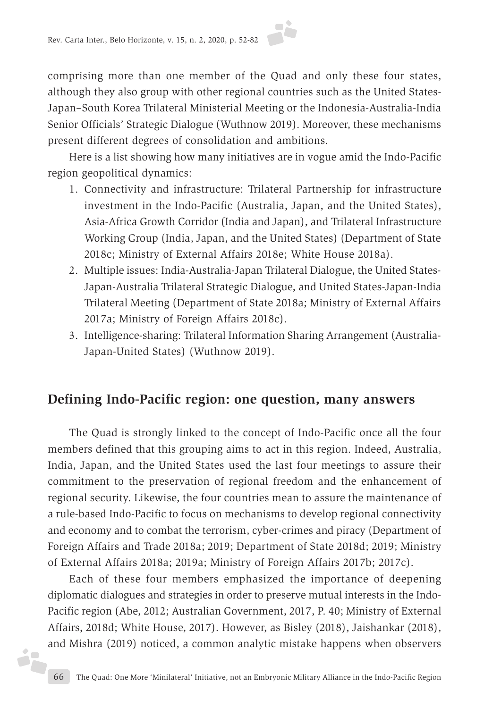comprising more than one member of the Quad and only these four states, although they also group with other regional countries such as the United States-Japan–South Korea Trilateral Ministerial Meeting or the Indonesia-Australia-India Senior Officials' Strategic Dialogue (Wuthnow 2019). Moreover, these mechanisms present different degrees of consolidation and ambitions.

Here is a list showing how many initiatives are in vogue amid the Indo-Pacific region geopolitical dynamics:

- 1. Connectivity and infrastructure: Trilateral Partnership for infrastructure investment in the Indo-Pacific (Australia, Japan, and the United States), Asia-Africa Growth Corridor (India and Japan), and Trilateral Infrastructure Working Group (India, Japan, and the United States) (Department of State 2018c; Ministry of External Affairs 2018e; White House 2018a).
- 2. Multiple issues: India-Australia-Japan Trilateral Dialogue, the United States-Japan-Australia Trilateral Strategic Dialogue, and United States-Japan-India Trilateral Meeting (Department of State 2018a; Ministry of External Affairs 2017a; Ministry of Foreign Affairs 2018c).
- 3. Intelligence-sharing: Trilateral Information Sharing Arrangement (Australia-Japan-United States) (Wuthnow 2019).

### **Defining Indo-Pacific region: one question, many answers**

The Quad is strongly linked to the concept of Indo-Pacific once all the four members defined that this grouping aims to act in this region. Indeed, Australia, India, Japan, and the United States used the last four meetings to assure their commitment to the preservation of regional freedom and the enhancement of regional security. Likewise, the four countries mean to assure the maintenance of a rule-based Indo-Pacific to focus on mechanisms to develop regional connectivity and economy and to combat the terrorism, cyber-crimes and piracy (Department of Foreign Affairs and Trade 2018a; 2019; Department of State 2018d; 2019; Ministry of External Affairs 2018a; 2019a; Ministry of Foreign Affairs 2017b; 2017c).

Each of these four members emphasized the importance of deepening diplomatic dialogues and strategies in order to preserve mutual interests in the Indo-Pacific region (Abe, 2012; Australian Government, 2017, P. 40; Ministry of External Affairs, 2018d; White House, 2017). However, as Bisley (2018), Jaishankar (2018), and Mishra (2019) noticed, a common analytic mistake happens when observers

i<sub>r</sub>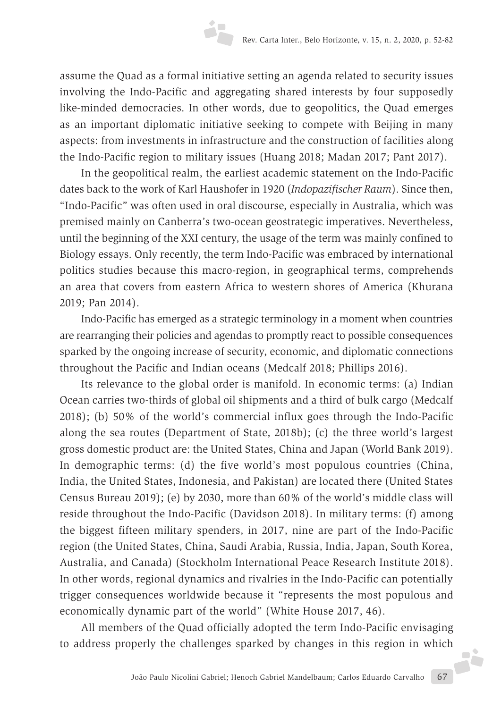assume the Quad as a formal initiative setting an agenda related to security issues involving the Indo-Pacific and aggregating shared interests by four supposedly like-minded democracies. In other words, due to geopolitics, the Quad emerges as an important diplomatic initiative seeking to compete with Beijing in many aspects: from investments in infrastructure and the construction of facilities along the Indo-Pacific region to military issues (Huang 2018; Madan 2017; Pant 2017).

In the geopolitical realm, the earliest academic statement on the Indo-Pacific dates back to the work of Karl Haushofer in 1920 (*Indopazifischer Raum*). Since then, "Indo-Pacific" was often used in oral discourse, especially in Australia, which was premised mainly on Canberra's two-ocean geostrategic imperatives. Nevertheless, until the beginning of the XXI century, the usage of the term was mainly confined to Biology essays. Only recently, the term Indo-Pacific was embraced by international politics studies because this macro-region, in geographical terms, comprehends an area that covers from eastern Africa to western shores of America (Khurana 2019; Pan 2014).

Indo-Pacific has emerged as a strategic terminology in a moment when countries are rearranging their policies and agendas to promptly react to possible consequences sparked by the ongoing increase of security, economic, and diplomatic connections throughout the Pacific and Indian oceans (Medcalf 2018; Phillips 2016).

Its relevance to the global order is manifold. In economic terms: (a) Indian Ocean carries two-thirds of global oil shipments and a third of bulk cargo (Medcalf 2018); (b) 50% of the world's commercial influx goes through the Indo-Pacific along the sea routes (Department of State, 2018b); (c) the three world's largest gross domestic product are: the United States, China and Japan (World Bank 2019). In demographic terms: (d) the five world's most populous countries (China, India, the United States, Indonesia, and Pakistan) are located there (United States Census Bureau 2019); (e) by 2030, more than 60% of the world's middle class will reside throughout the Indo-Pacific (Davidson 2018). In military terms: (f) among the biggest fifteen military spenders, in 2017, nine are part of the Indo-Pacific region (the United States, China, Saudi Arabia, Russia, India, Japan, South Korea, Australia, and Canada) (Stockholm International Peace Research Institute 2018). In other words, regional dynamics and rivalries in the Indo-Pacific can potentially trigger consequences worldwide because it "represents the most populous and economically dynamic part of the world" (White House 2017, 46).

João Paulo Nicolini Gabriel; Henoch Gabriel Mandelbaum; Carlos Eduardo Carvalho 67 All members of the Quad officially adopted the term Indo-Pacific envisaging to address properly the challenges sparked by changes in this region in which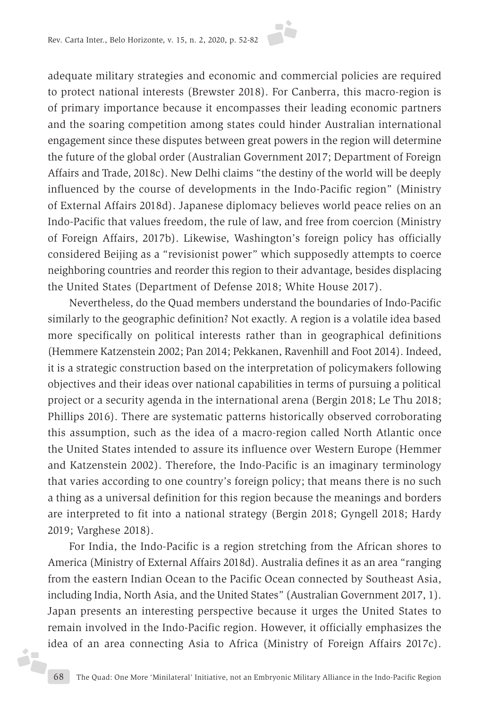

adequate military strategies and economic and commercial policies are required to protect national interests (Brewster 2018). For Canberra, this macro-region is of primary importance because it encompasses their leading economic partners and the soaring competition among states could hinder Australian international engagement since these disputes between great powers in the region will determine the future of the global order (Australian Government 2017; Department of Foreign Affairs and Trade, 2018c). New Delhi claims "the destiny of the world will be deeply influenced by the course of developments in the Indo-Pacific region" (Ministry of External Affairs 2018d). Japanese diplomacy believes world peace relies on an Indo-Pacific that values freedom, the rule of law, and free from coercion (Ministry of Foreign Affairs, 2017b). Likewise, Washington's foreign policy has officially considered Beijing as a "revisionist power" which supposedly attempts to coerce neighboring countries and reorder this region to their advantage, besides displacing the United States (Department of Defense 2018; White House 2017).

Nevertheless, do the Quad members understand the boundaries of Indo-Pacific similarly to the geographic definition? Not exactly. A region is a volatile idea based more specifically on political interests rather than in geographical definitions (Hemmere Katzenstein 2002; Pan 2014; Pekkanen, Ravenhill and Foot 2014). Indeed, it is a strategic construction based on the interpretation of policymakers following objectives and their ideas over national capabilities in terms of pursuing a political project or a security agenda in the international arena (Bergin 2018; Le Thu 2018; Phillips 2016). There are systematic patterns historically observed corroborating this assumption, such as the idea of a macro-region called North Atlantic once the United States intended to assure its influence over Western Europe (Hemmer and Katzenstein 2002). Therefore, the Indo-Pacific is an imaginary terminology that varies according to one country's foreign policy; that means there is no such a thing as a universal definition for this region because the meanings and borders are interpreted to fit into a national strategy (Bergin 2018; Gyngell 2018; Hardy 2019; Varghese 2018).

For India, the Indo-Pacific is a region stretching from the African shores to America (Ministry of External Affairs 2018d). Australia defines it as an area "ranging from the eastern Indian Ocean to the Pacific Ocean connected by Southeast Asia, including India, North Asia, and the United States" (Australian Government 2017, 1). Japan presents an interesting perspective because it urges the United States to remain involved in the Indo-Pacific region. However, it officially emphasizes the idea of an area connecting Asia to Africa (Ministry of Foreign Affairs 2017c).

i,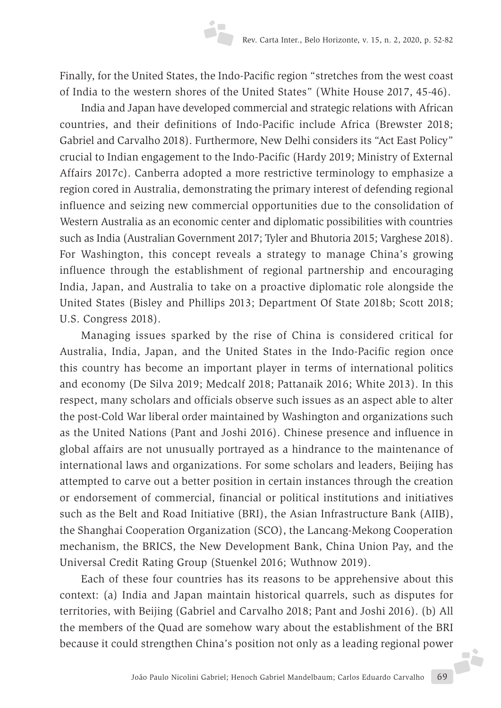Finally, for the United States, the Indo-Pacific region "stretches from the west coast of India to the western shores of the United States" (White House 2017, 45-46).

India and Japan have developed commercial and strategic relations with African countries, and their definitions of Indo-Pacific include Africa (Brewster 2018; Gabriel and Carvalho 2018). Furthermore, New Delhi considers its "Act East Policy" crucial to Indian engagement to the Indo-Pacific (Hardy 2019; Ministry of External Affairs 2017c). Canberra adopted a more restrictive terminology to emphasize a region cored in Australia, demonstrating the primary interest of defending regional influence and seizing new commercial opportunities due to the consolidation of Western Australia as an economic center and diplomatic possibilities with countries such as India (Australian Government 2017; Tyler and Bhutoria 2015; Varghese 2018). For Washington, this concept reveals a strategy to manage China's growing influence through the establishment of regional partnership and encouraging India, Japan, and Australia to take on a proactive diplomatic role alongside the United States (Bisley and Phillips 2013; Department Of State 2018b; Scott 2018; U.S. Congress 2018).

Managing issues sparked by the rise of China is considered critical for Australia, India, Japan, and the United States in the Indo-Pacific region once this country has become an important player in terms of international politics and economy (De Silva 2019; Medcalf 2018; Pattanaik 2016; White 2013). In this respect, many scholars and officials observe such issues as an aspect able to alter the post-Cold War liberal order maintained by Washington and organizations such as the United Nations (Pant and Joshi 2016). Chinese presence and influence in global affairs are not unusually portrayed as a hindrance to the maintenance of international laws and organizations. For some scholars and leaders, Beijing has attempted to carve out a better position in certain instances through the creation or endorsement of commercial, financial or political institutions and initiatives such as the Belt and Road Initiative (BRI), the Asian Infrastructure Bank (AIIB), the Shanghai Cooperation Organization (SCO), the Lancang-Mekong Cooperation mechanism, the BRICS, the New Development Bank, China Union Pay, and the Universal Credit Rating Group (Stuenkel 2016; Wuthnow 2019).

João Paulo Nicolini Gabriel; Henoch Gabriel Mandelbaum; Carlos Eduardo Carvalho 69 Each of these four countries has its reasons to be apprehensive about this context: (a) India and Japan maintain historical quarrels, such as disputes for territories, with Beijing (Gabriel and Carvalho 2018; Pant and Joshi 2016). (b) All the members of the Quad are somehow wary about the establishment of the BRI because it could strengthen China's position not only as a leading regional power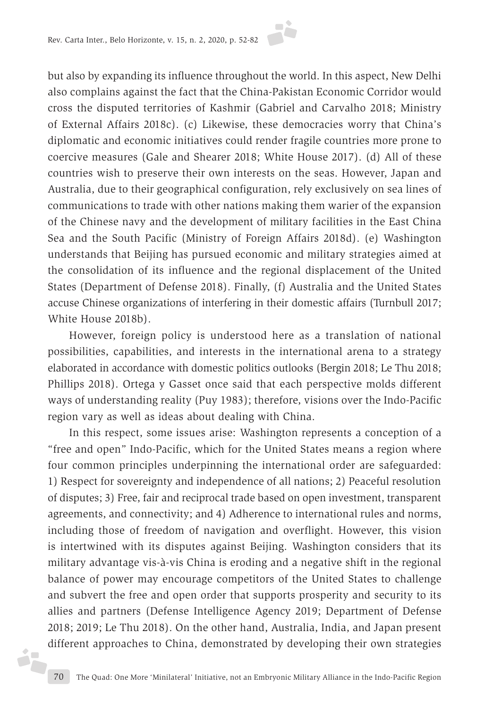

but also by expanding its influence throughout the world. In this aspect, New Delhi also complains against the fact that the China-Pakistan Economic Corridor would cross the disputed territories of Kashmir (Gabriel and Carvalho 2018; Ministry of External Affairs 2018c). (c) Likewise, these democracies worry that China's diplomatic and economic initiatives could render fragile countries more prone to coercive measures (Gale and Shearer 2018; White House 2017). (d) All of these countries wish to preserve their own interests on the seas. However, Japan and Australia, due to their geographical configuration, rely exclusively on sea lines of communications to trade with other nations making them warier of the expansion of the Chinese navy and the development of military facilities in the East China Sea and the South Pacific (Ministry of Foreign Affairs 2018d). (e) Washington understands that Beijing has pursued economic and military strategies aimed at the consolidation of its influence and the regional displacement of the United States (Department of Defense 2018). Finally, (f) Australia and the United States accuse Chinese organizations of interfering in their domestic affairs (Turnbull 2017; White House 2018b).

However, foreign policy is understood here as a translation of national possibilities, capabilities, and interests in the international arena to a strategy elaborated in accordance with domestic politics outlooks (Bergin 2018; Le Thu 2018; Phillips 2018). Ortega y Gasset once said that each perspective molds different ways of understanding reality (Puy 1983); therefore, visions over the Indo-Pacific region vary as well as ideas about dealing with China.

In this respect, some issues arise: Washington represents a conception of a "free and open" Indo-Pacific, which for the United States means a region where four common principles underpinning the international order are safeguarded: 1) Respect for sovereignty and independence of all nations; 2) Peaceful resolution of disputes; 3) Free, fair and reciprocal trade based on open investment, transparent agreements, and connectivity; and 4) Adherence to international rules and norms, including those of freedom of navigation and overflight. However, this vision is intertwined with its disputes against Beijing. Washington considers that its military advantage vis-à-vis China is eroding and a negative shift in the regional balance of power may encourage competitors of the United States to challenge and subvert the free and open order that supports prosperity and security to its allies and partners (Defense Intelligence Agency 2019; Department of Defense 2018; 2019; Le Thu 2018). On the other hand, Australia, India, and Japan present different approaches to China, demonstrated by developing their own strategies

j.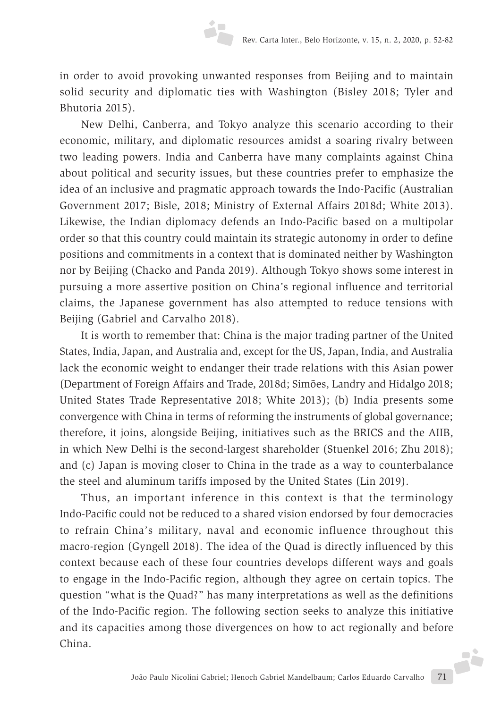

in order to avoid provoking unwanted responses from Beijing and to maintain solid security and diplomatic ties with Washington (Bisley 2018; Tyler and Bhutoria 2015).

New Delhi, Canberra, and Tokyo analyze this scenario according to their economic, military, and diplomatic resources amidst a soaring rivalry between two leading powers. India and Canberra have many complaints against China about political and security issues, but these countries prefer to emphasize the idea of an inclusive and pragmatic approach towards the Indo-Pacific (Australian Government 2017; Bisle, 2018; Ministry of External Affairs 2018d; White 2013). Likewise, the Indian diplomacy defends an Indo-Pacific based on a multipolar order so that this country could maintain its strategic autonomy in order to define positions and commitments in a context that is dominated neither by Washington nor by Beijing (Chacko and Panda 2019). Although Tokyo shows some interest in pursuing a more assertive position on China's regional influence and territorial claims, the Japanese government has also attempted to reduce tensions with Beijing (Gabriel and Carvalho 2018).

It is worth to remember that: China is the major trading partner of the United States, India, Japan, and Australia and, except for the US, Japan, India, and Australia lack the economic weight to endanger their trade relations with this Asian power (Department of Foreign Affairs and Trade, 2018d; Simões, Landry and Hidalgo 2018; United States Trade Representative 2018; White 2013); (b) India presents some convergence with China in terms of reforming the instruments of global governance; therefore, it joins, alongside Beijing, initiatives such as the BRICS and the AIIB, in which New Delhi is the second-largest shareholder (Stuenkel 2016; Zhu 2018); and (c) Japan is moving closer to China in the trade as a way to counterbalance the steel and aluminum tariffs imposed by the United States (Lin 2019).

João Paulo Nicolini Gabriel; Henoch Gabriel Mandelbaum; Carlos Eduardo Carvalho 71 Thus, an important inference in this context is that the terminology Indo-Pacific could not be reduced to a shared vision endorsed by four democracies to refrain China's military, naval and economic influence throughout this macro-region (Gyngell 2018). The idea of the Quad is directly influenced by this context because each of these four countries develops different ways and goals to engage in the Indo-Pacific region, although they agree on certain topics. The question "what is the Quad?" has many interpretations as well as the definitions of the Indo-Pacific region. The following section seeks to analyze this initiative and its capacities among those divergences on how to act regionally and before China.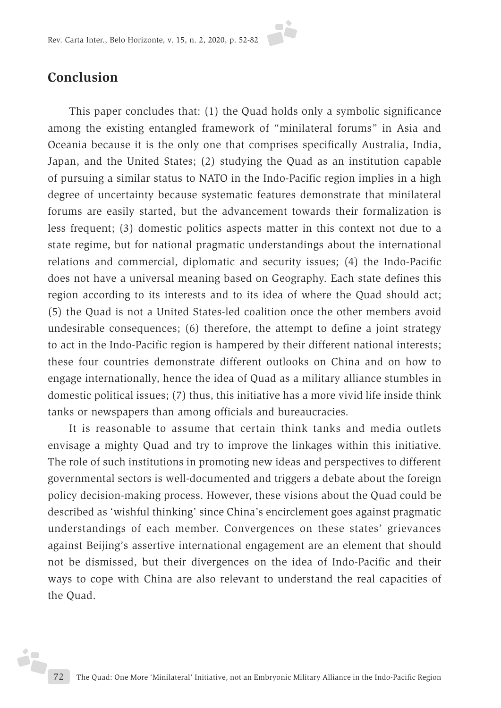

### **Conclusion**

This paper concludes that: (1) the Quad holds only a symbolic significance among the existing entangled framework of "minilateral forums" in Asia and Oceania because it is the only one that comprises specifically Australia, India, Japan, and the United States; (2) studying the Quad as an institution capable of pursuing a similar status to NATO in the Indo-Pacific region implies in a high degree of uncertainty because systematic features demonstrate that minilateral forums are easily started, but the advancement towards their formalization is less frequent; (3) domestic politics aspects matter in this context not due to a state regime, but for national pragmatic understandings about the international relations and commercial, diplomatic and security issues; (4) the Indo-Pacific does not have a universal meaning based on Geography. Each state defines this region according to its interests and to its idea of where the Quad should act; (5) the Quad is not a United States-led coalition once the other members avoid undesirable consequences; (6) therefore, the attempt to define a joint strategy to act in the Indo-Pacific region is hampered by their different national interests; these four countries demonstrate different outlooks on China and on how to engage internationally, hence the idea of Quad as a military alliance stumbles in domestic political issues; (7) thus, this initiative has a more vivid life inside think tanks or newspapers than among officials and bureaucracies.

It is reasonable to assume that certain think tanks and media outlets envisage a mighty Quad and try to improve the linkages within this initiative. The role of such institutions in promoting new ideas and perspectives to different governmental sectors is well-documented and triggers a debate about the foreign policy decision-making process. However, these visions about the Quad could be described as 'wishful thinking' since China's encirclement goes against pragmatic understandings of each member. Convergences on these states' grievances against Beijing's assertive international engagement are an element that should not be dismissed, but their divergences on the idea of Indo-Pacific and their ways to cope with China are also relevant to understand the real capacities of the Quad.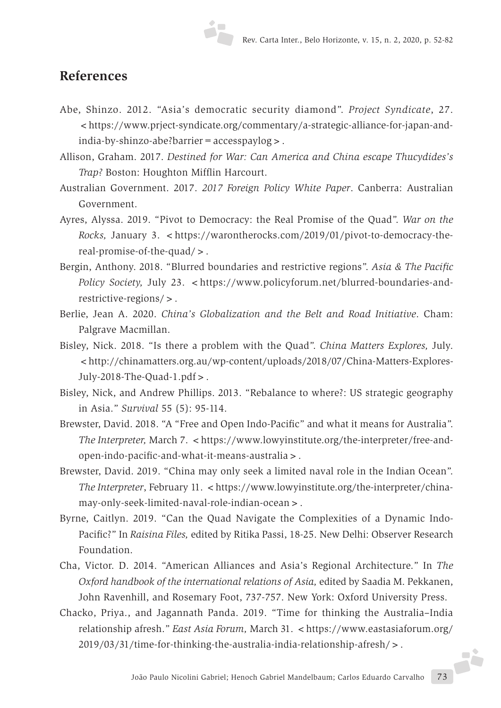### **References**

- Abe, Shinzo. 2012. "Asia's democratic security diamond". *Project Syndicate*, 27. <https://www.prject-syndicate.org/commentary/a-strategic-alliance-for-japan-andindia-by-shinzo-abe?barrier = accesspaylog > .
- Allison, Graham. 2017. *Destined for War: Can America and China escape Thucydides's Trap?* Boston: Houghton Mifflin Harcourt.
- Australian Government. 2017. *2017 Foreign Policy White Paper*. Canberra: Australian Government.
- Ayres, Alyssa. 2019. "Pivot to Democracy: the Real Promise of the Quad". *War on the Rocks,* January 3. *<*https://warontherocks.com/2019/01/pivot-to-democracy-thereal-promise-of-the-quad/>.
- Bergin, Anthony. 2018. "Blurred boundaries and restrictive regions". *Asia & The Pacific Policy Society, July 23.* <https://www.policyforum.net/blurred-boundaries-andrestrictive-regions/>.
- Berlie, Jean A. 2020. *China's Globalization and the Belt and Road Initiative*. Cham: Palgrave Macmillan.
- Bisley, Nick. 2018. "Is there a problem with the Quad". *China Matters Explores,* July. <http://chinamatters.org.au/wp-content/uploads/2018/07/China-Matters-Explores-July-2018-The-Quad-1.pdf>.
- Bisley, Nick, and Andrew Phillips. 2013. "Rebalance to where?: US strategic geography in Asia." *Survival* 55 (5): 95-114.
- Brewster, David. 2018. "A "Free and Open Indo-Pacific" and what it means for Australia". *The Interpreter, March 7. <https://www.lowyinstitute.org/the-interpreter/free-and*open-indo-pacific-and-what-it-means-australia>.
- Brewster, David. 2019. "China may only seek a limited naval role in the Indian Ocean". *The Interpreter*, February 11. <https://www.lowyinstitute.org/the-interpreter/chinamay-only-seek-limited-naval-role-indian-ocean>.
- Byrne, Caitlyn. 2019. "Can the Quad Navigate the Complexities of a Dynamic Indo-Pacific?" In *Raisina Files,* edited by Ritika Passi, 18-25. New Delhi: Observer Research Foundation.
- Cha, Victor. D. 2014. "American Alliances and Asia's Regional Architecture." In *The Oxford handbook of the international relations of Asia,* edited by Saadia M. Pekkanen, John Ravenhill, and Rosemary Foot, 737-757. New York: Oxford University Press.
- João Paulo Nicolini Gabriel; Henoch Gabriel Mandelbaum; Carlos Eduardo Carvalho 73 Chacko, Priya., and Jagannath Panda. 2019. "Time for thinking the Australia–India relationship afresh." *East Asia Forum*, March 31. <https://www.eastasiaforum.org/ 2019/03/31/time-for-thinking-the-australia-india-relationship-afresh/>.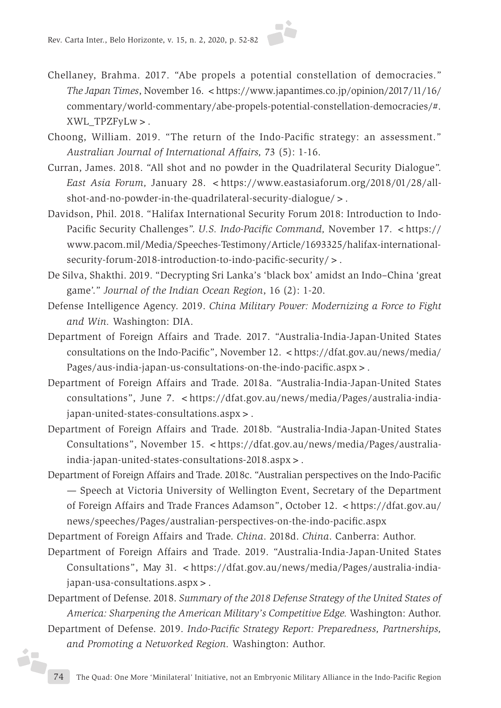

- Chellaney, Brahma. 2017. "Abe propels a potential constellation of democracies." *The Japan Times*, November 16. <https://www.japantimes.co.jp/opinion/2017/11/16/ commentary/world-commentary/abe-propels-potential-constellation-democracies/#. XWL\_TPZFyLw>.
- Choong, William. 2019. "The return of the Indo-Pacific strategy: an assessment." *Australian Journal of International Affairs,* 73 (5): 1-16.
- Curran, James. 2018. "All shot and no powder in the Quadrilateral Security Dialogue". *East Asia Forum, January 28.* < https://www.eastasiaforum.org/2018/01/28/allshot-and-no-powder-in-the-quadrilateral-security-dialogue/>.
- Davidson, Phil. 2018. "Halifax International Security Forum 2018: Introduction to Indo-Pacific Security Challenges". *U.S. Indo-Pacific Command*, November 17. <https:// www.pacom.mil/Media/Speeches-Testimony/Article/1693325/halifax-internationalsecurity-forum-2018-introduction-to-indo-pacific-security/>.
- De Silva, Shakthi. 2019. "Decrypting Sri Lanka's 'black box' amidst an Indo–China 'great game'." *Journal of the Indian Ocean Region*, 16 (2): 1-20.
- Defense Intelligence Agency. 2019. *China Military Power: Modernizing a Force to Fight and Win.* Washington: DIA.
- Department of Foreign Affairs and Trade. 2017. "Australia-India-Japan-United States consultations on the Indo-Pacific", November 12. <https://dfat.gov.au/news/media/ Pages/aus-india-japan-us-consultations-on-the-indo-pacific.aspx>.
- Department of Foreign Affairs and Trade. 2018a. "Australia-India-Japan-United States consultations", June 7. < https://dfat.gov.au/news/media/Pages/australia-indiajapan-united-states-consultations.aspx>.
- Department of Foreign Affairs and Trade. 2018b. "Australia-India-Japan-United States Consultations", November 15. < https://dfat.gov.au/news/media/Pages/australiaindia-japan-united-states-consultations-2018.aspx>.
- Department of Foreign Affairs and Trade. 2018c. "Australian perspectives on the Indo-Pacific — Speech at Victoria University of Wellington Event, Secretary of the Department of Foreign Affairs and Trade Frances Adamson", October 12. < https://dfat.gov.au/ news/speeches/Pages/australian-perspectives-on-the-indo-pacific.aspx
- Department of Foreign Affairs and Trade. *China*. 2018d. *China*. Canberra: Author.
- Department of Foreign Affairs and Trade. 2019. "Australia-India-Japan-United States Consultations", May 31. <https://dfat.gov.au/news/media/Pages/australia-indiajapan-usa-consultations.aspx>.
- Department of Defense. 2018. *Summary of the 2018 Defense Strategy of the United States of America: Sharpening the American Military's Competitive Edge.* Washington: Author.
- Department of Defense. 2019. *Indo-Pacific Strategy Report: Preparedness, Partnerships, and Promoting a Networked Region.* Washington: Author.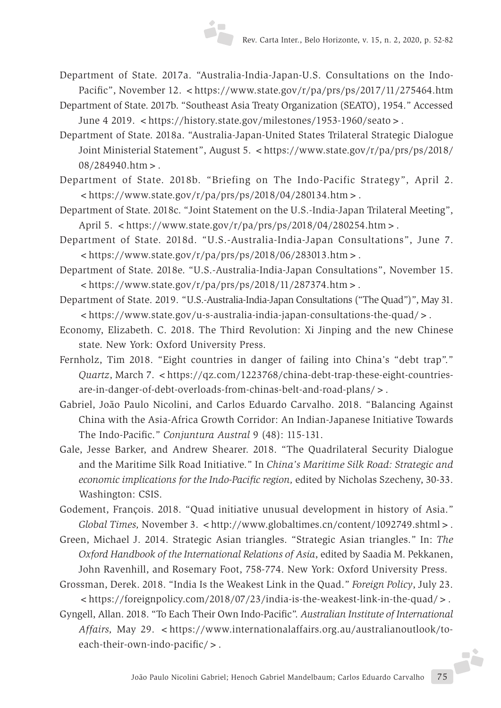- Department of State. 2017a. "Australia-India-Japan-U.S. Consultations on the Indo-Pacific", November 12. <https://www.state.gov/r/pa/prs/ps/2017/11/275464.htm
- Department of State. 2017b. "Southeast Asia Treaty Organization (SEATO), 1954." Accessed June 4 2019. <https://history.state.gov/milestones/1953-1960/seato>.
- Department of State. 2018a. "Australia-Japan-United States Trilateral Strategic Dialogue Joint Ministerial Statement", August 5. <https://www.state.gov/r/pa/prs/ps/2018/ 08/284940.htm>.
- Department of State. 2018b. "Briefing on The Indo-Pacific Strategy", April 2.  $\langle$ https://www.state.gov/r/pa/prs/ps/2018/04/280134.htm >.
- Department of State. 2018c. "Joint Statement on the U.S.-India-Japan Trilateral Meeting", April 5.  $\lt$ https://www.state.gov/r/pa/prs/ps/2018/04/280254.htm > .
- Department of State. 2018d. "U.S.-Australia-India-Japan Consultations", June 7.  $\langle$ https://www.state.gov/r/pa/prs/ps/2018/06/283013.htm>.
- Department of State. 2018e. "U.S.-Australia-India-Japan Consultations", November 15.  $\langle$ https://www.state.gov/r/pa/prs/ps/2018/11/287374.htm >.
- Department of State. 2019. "U.S.-Australia-India-Japan Consultations ("The Quad")", May 31. <https://www.state.gov/u-s-australia-india-japan-consultations-the-quad/>.
- Economy, Elizabeth. C. 2018. The Third Revolution: Xi Jinping and the new Chinese state. New York: Oxford University Press.
- Fernholz, Tim 2018. "Eight countries in danger of failing into China's "debt trap"." *Quartz*, March 7. <https://qz.com/1223768/china-debt-trap-these-eight-countriesare-in-danger-of-debt-overloads-from-chinas-belt-and-road-plans/>.
- Gabriel, João Paulo Nicolini, and Carlos Eduardo Carvalho. 2018. "Balancing Against China with the Asia-Africa Growth Corridor: An Indian-Japanese Initiative Towards The Indo-Pacific." *Conjuntura Austral* 9 (48): 115-131.
- Gale, Jesse Barker, and Andrew Shearer. 2018. "The Quadrilateral Security Dialogue and the Maritime Silk Road Initiative." In *China's Maritime Silk Road: Strategic and economic implications for the Indo-Pacific region,* edited by Nicholas Szecheny, 30-33. Washington: CSIS.
- Godement, François. 2018. "Quad initiative unusual development in history of Asia." *Global Times, November 3.* <http://www.globaltimes.cn/content/1092749.shtml>.
- Green, Michael J. 2014. Strategic Asian triangles. "Strategic Asian triangles." In: *The Oxford Handbook of the International Relations of Asia*, edited by Saadia M. Pekkanen, John Ravenhill, and Rosemary Foot, 758-774. New York: Oxford University Press.
- Grossman, Derek. 2018. "India Is the Weakest Link in the Quad." *Foreign Policy*, July 23. <https://foreignpolicy.com/2018/07/23/india-is-the-weakest-link-in-the-quad/>.
- Gyngell, Allan. 2018. "To Each Their Own Indo-Pacific". *Australian Institute of International Affairs, May 29. <https://www.internationalaffairs.org.au/australianoutlook/to*each-their-own-indo-pacific/>.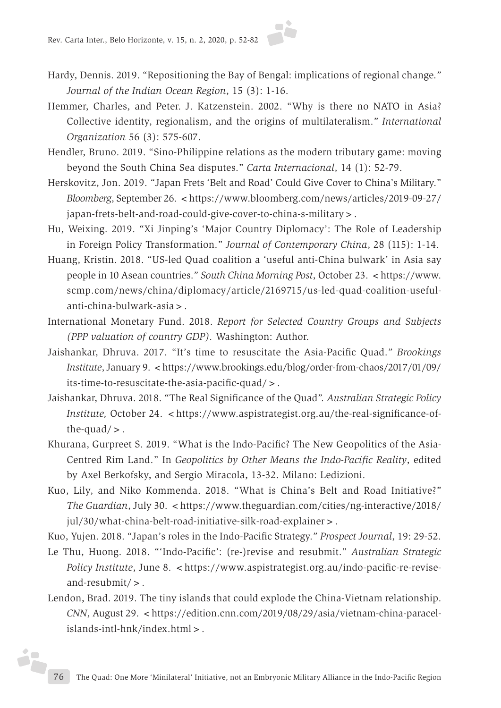

- Hardy, Dennis. 2019. "Repositioning the Bay of Bengal: implications of regional change." *Journal of the Indian Ocean Region*, 15 (3): 1-16.
- Hemmer, Charles, and Peter. J. Katzenstein. 2002. "Why is there no NATO in Asia? Collective identity, regionalism, and the origins of multilateralism." *International Organization* 56 (3): 575-607.
- Hendler, Bruno. 2019. "Sino-Philippine relations as the modern tributary game: moving beyond the South China Sea disputes." *Carta Internacional*, 14 (1): 52-79.
- Herskovitz, Jon. 2019. "Japan Frets 'Belt and Road' Could Give Cover to China's Military." *Bloomberg*, September 26. <https://www.bloomberg.com/news/articles/2019-09-27/ japan-frets-belt-and-road-could-give-cover-to-china-s-military>.
- Hu, Weixing. 2019. "Xi Jinping's 'Major Country Diplomacy': The Role of Leadership in Foreign Policy Transformation." *Journal of Contemporary China*, 28 (115): 1-14.
- Huang, Kristin. 2018. "US-led Quad coalition a 'useful anti-China bulwark' in Asia say people in 10 Asean countries." *South China Morning Post*, October 23. <https://www. scmp.com/news/china/diplomacy/article/2169715/us-led-quad-coalition-usefulanti-china-bulwark-asia>.
- International Monetary Fund. 2018. *Report for Selected Country Groups and Subjects (PPP valuation of country GDP).* Washington: Author.
- Jaishankar, Dhruva. 2017. "It's time to resuscitate the Asia-Pacific Quad." *Brookings Institute*, January 9. <https://www.brookings.edu/blog/order-from-chaos/2017/01/09/ its-time-to-resuscitate-the-asia-pacific-quad/>.
- Jaishankar, Dhruva. 2018. "The Real Significance of the Quad". *Australian Strategic Policy Institute, October 24. <https://www.aspistrategist.org.au/the-real-significance-of*the-quad $/$  > .
- Khurana, Gurpreet S. 2019. "What is the Indo-Pacific? The New Geopolitics of the Asia-Centred Rim Land." In *Geopolitics by Other Means the Indo-Pacific Reality*, edited by Axel Berkofsky, and Sergio Miracola, 13-32. Milano: Ledizioni.
- Kuo, Lily, and Niko Kommenda. 2018. "What is China's Belt and Road Initiative?" *The Guardian*, July 30. <https://www.theguardian.com/cities/ng-interactive/2018/ jul/30/what-china-belt-road-initiative-silk-road-explainer > .
- Kuo, Yujen. 2018. "Japan's roles in the Indo-Pacific Strategy." *Prospect Journal*, 19: 29-52.
- Le Thu, Huong. 2018. "'Indo-Pacific': (re-)revise and resubmit." *Australian Strategic Policy Institute*, June 8. <https://www.aspistrategist.org.au/indo-pacific-re-reviseand-resubmit/>.
- Lendon, Brad. 2019. The tiny islands that could explode the China-Vietnam relationship. *CNN*, August 29. <https://edition.cnn.com/2019/08/29/asia/vietnam-china-paracelislands-intl-hnk/index.html>.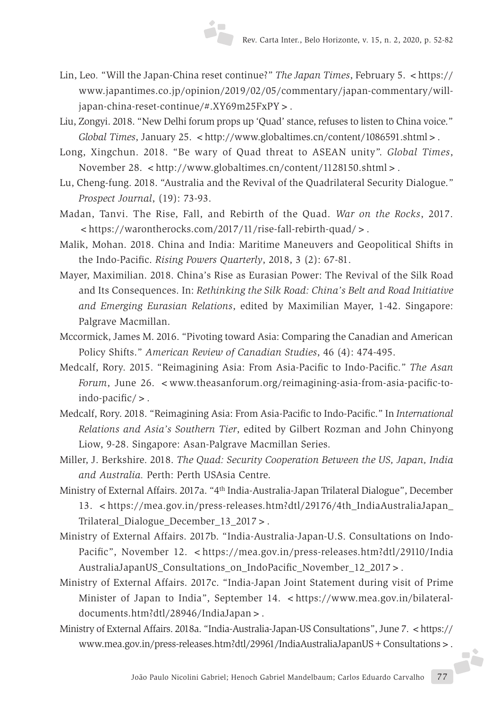- Lin, Leo*.* "Will the Japan-China reset continue?" *The Japan Times*, February 5. <https:// www.japantimes.co.jp/opinion/2019/02/05/commentary/japan-commentary/willjapan-china-reset-continue/#.XY69m25FxPY>.
- Liu, Zongyi. 2018. "New Delhi forum props up 'Quad' stance, refuses to listen to China voice." *Global Times*, January 25. <http://www.globaltimes.cn/content/1086591.shtml>.
- Long, Xingchun. 2018. "Be wary of Quad threat to ASEAN unity". *Global Times*, November 28. <http://www.globaltimes.cn/content/1128150.shtml>.
- Lu, Cheng-fung. 2018. "Australia and the Revival of the Quadrilateral Security Dialogue." *Prospect Journal*, (19): 73-93.
- Madan, Tanvi. The Rise, Fall, and Rebirth of the Quad. *War on the Rocks*, 2017. <https://warontherocks.com/2017/11/rise-fall-rebirth-quad/>.
- Malik, Mohan. 2018. China and India: Maritime Maneuvers and Geopolitical Shifts in the Indo-Pacific. *Rising Powers Quarterly*, 2018, 3 (2): 67-81.
- Mayer, Maximilian. 2018. China's Rise as Eurasian Power: The Revival of the Silk Road and Its Consequences. In: *Rethinking the Silk Road: China's Belt and Road Initiative and Emerging Eurasian Relations*, edited by Maximilian Mayer, 1-42. Singapore: Palgrave Macmillan.
- Mccormick, James M. 2016. "Pivoting toward Asia: Comparing the Canadian and American Policy Shifts." *American Review of Canadian Studies*, 46 (4): 474-495.
- Medcalf, Rory. 2015. "Reimagining Asia: From Asia-Pacific to Indo-Pacific." *The Asan Forum*, June 26. < www.theasanforum.org/reimagining-asia-from-asia-pacific-toindo-pacific/>.
- Medcalf, Rory. 2018. "Reimagining Asia: From Asia-Pacific to Indo-Pacific." In *International Relations and Asia's Southern Tier*, edited by Gilbert Rozman and John Chinyong Liow, 9-28. Singapore: Asan-Palgrave Macmillan Series.
- Miller, J. Berkshire. 2018. *The Quad: Security Cooperation Between the US, Japan, India and Australia.* Perth: Perth USAsia Centre.
- Ministry of External Affairs. 2017a. "4th India-Australia-Japan Trilateral Dialogue", December 13. <https://mea.gov.in/press-releases.htm?dtl/29176/4th\_IndiaAustraliaJapan\_ Trilateral\_Dialogue\_December\_13\_2017>.
- Ministry of External Affairs. 2017b. "India-Australia-Japan-U.S. Consultations on Indo-Pacific", November 12. <https://mea.gov.in/press-releases.htm?dtl/29110/India AustraliaJapanUS\_Consultations\_on\_IndoPacific\_November\_12\_2017>.
- Ministry of External Affairs. 2017c. "India-Japan Joint Statement during visit of Prime Minister of Japan to India", September 14. <https://www.mea.gov.in/bilateraldocuments.htm?dtl/28946/IndiaJapan>.
- João Paulo Nicolini Gabriel; Henoch Gabriel Mandelbaum; Carlos Eduardo Carvalho 77 Ministry of External Affairs. 2018a. "India-Australia-Japan-US Consultations", June 7. <https:// www.mea.gov.in/press-releases.htm?dtl/29961/IndiaAustraliaJapanUS+Consultations>.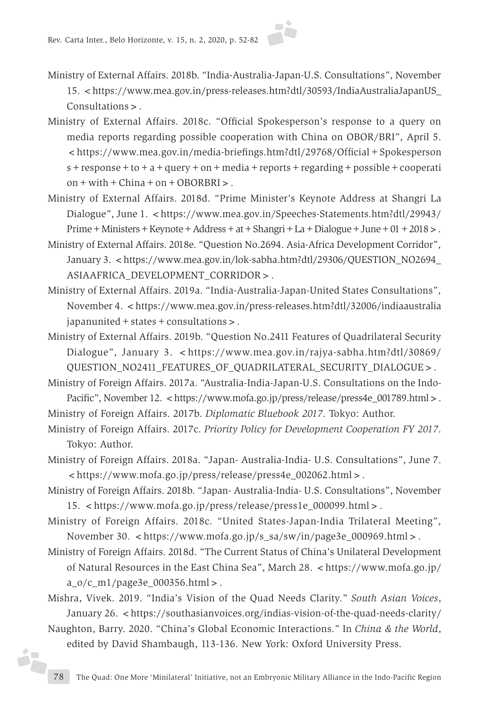

- Ministry of External Affairs. 2018b. "India-Australia-Japan-U.S. Consultations", November 15. <https://www.mea.gov.in/press-releases.htm?dtl/30593/IndiaAustraliaJapanUS\_ Consultations>.
- Ministry of External Affairs. 2018c. "Official Spokesperson's response to a query on media reports regarding possible cooperation with China on OBOR/BRI", April 5. <https://www.mea.gov.in/media-briefings.htm?dtl/29768/Official+Spokesperson  $s$  + response + to + a + query + on + media + reports + regarding + possible + cooperati on+with+China+on+OBORBRI>.
- Ministry of External Affairs. 2018d. "Prime Minister's Keynote Address at Shangri La Dialogue", June 1. <https://www.mea.gov.in/Speeches-Statements.htm?dtl/29943/ Prime+Ministers+Keynote+Address+at+Shangri+La+Dialogue+June+01+2018>.
- Ministry of External Affairs. 2018e. "Question No.2694. Asia-Africa Development Corridor", January 3. <https://www.mea.gov.in/lok-sabha.htm?dtl/29306/QUESTION\_NO2694\_ ASIAAFRICA\_DEVELOPMENT\_CORRIDOR>.
- Ministry of External Affairs. 2019a. "India-Australia-Japan-United States Consultations", November 4. < https://www.mea.gov.in/press-releases.htm?dtl/32006/indiaaustralia japanunited+states+consultations>.
- Ministry of External Affairs. 2019b. "Question No.2411 Features of Quadrilateral Security Dialogue", January 3. <https://www.mea.gov.in/rajya-sabha.htm?dtl/30869/ QUESTION\_NO2411\_FEATURES\_OF\_QUADRILATERAL\_SECURITY\_DIALOGUE>.
- Ministry of Foreign Affairs. 2017a. "Australia-India-Japan-U.S. Consultations on the Indo-Pacific", November 12. <https://www.mofa.go.jp/press/release/press4e\_001789.html>.
- Ministry of Foreign Affairs. 2017b. *Diplomatic Bluebook 2017*. Tokyo: Author.
- Ministry of Foreign Affairs. 2017c. *Priority Policy for Development Cooperation FY 2017*. Tokyo: Author.
- Ministry of Foreign Affairs. 2018a. "Japan- Australia-India- U.S. Consultations", June 7. <https://www.mofa.go.jp/press/release/press4e\_002062.html>.
- Ministry of Foreign Affairs. 2018b. "Japan- Australia-India- U.S. Consultations", November 15. <https://www.mofa.go.jp/press/release/press1e\_000099.html>.
- Ministry of Foreign Affairs. 2018c. "United States-Japan-India Trilateral Meeting", November 30. < https://www.mofa.go.jp/s\_sa/sw/in/page3e\_000969.html > .
- Ministry of Foreign Affairs. 2018d. "The Current Status of China's Unilateral Development of Natural Resources in the East China Sea", March 28. <https://www.mofa.go.jp/ a\_o/c\_m1/page3e\_000356.html>.
- Mishra, Vivek. 2019. "India's Vision of the Quad Needs Clarity." *South Asian Voices*, January 26. <https://southasianvoices.org/indias-vision-of-the-quad-needs-clarity/
- Naughton, Barry. 2020. "China's Global Economic Interactions." In *China & the World*, edited by David Shambaugh, 113-136. New York: Oxford University Press.

iz.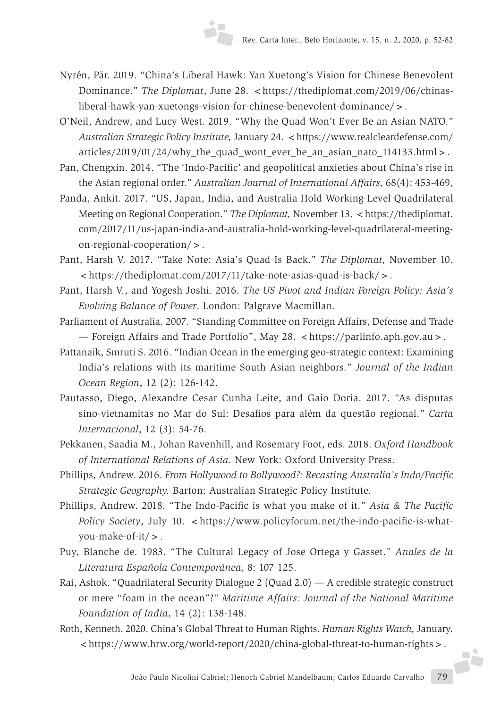- Nyrén, Pär. 2019. "China's Liberal Hawk: Yan Xuetong's Vision for Chinese Benevolent Dominance." *The Diplomat*, June 28. <https://thediplomat.com/2019/06/chinasliberal-hawk-yan-xuetongs-vision-for-chinese-benevolent-dominance/>.
- O'Neil, Andrew, and Lucy West. 2019. "Why the Quad Won't Ever Be an Asian NATO." *Australian Strategic Policy Institute,* January 24. <https://www.realcleardefense.com/ articles/2019/01/24/why\_the\_quad\_wont\_ever\_be\_an\_asian\_nato\_114133.html>.
- Pan, Chengxin. 2014. "The 'Indo-Pacific' and geopolitical anxieties about China's rise in the Asian regional order." *Australian Journal of International Affairs*, 68(4): 453-469,
- Panda, Ankit. 2017. "US, Japan, India, and Australia Hold Working-Level Quadrilateral Meeting on Regional Cooperation." *The Diplomat*, November 13. <https://thediplomat. com/2017/11/us-japan-india-and-australia-hold-working-level-quadrilateral-meetingon-regional-cooperation/>.
- Pant, Harsh V. 2017. "Take Note: Asia's Quad Is Back." *The Diplomat,* November 10. <https://thediplomat.com/2017/11/take-note-asias-quad-is-back/>.
- Pant, Harsh V., and Yogesh Joshi. 2016. *The US Pivot and Indian Foreign Policy: Asia's Evolving Balance of Power*. London: Palgrave Macmillan.
- Parliament of Australia. 2007. "Standing Committee on Foreign Affairs, Defense and Trade — Foreign Affairs and Trade Portfolio", May 28. <https://parlinfo.aph.gov.au>.
- Pattanaik, Smruti S. 2016. "Indian Ocean in the emerging geo-strategic context: Examining India's relations with its maritime South Asian neighbors." *Journal of the Indian Ocean Region*, 12 (2): 126-142.
- Pautasso, Diego, Alexandre Cesar Cunha Leite, and Gaio Doria. 2017. "As disputas sino-vietnamitas no Mar do Sul: Desafios para além da questão regional." *Carta Internacional*, 12 (3): 54-76.
- Pekkanen, Saadia M., Johan Ravenhill, and Rosemary Foot, eds. 2018. *Oxford Handbook of International Relations of Asia*. New York: Oxford University Press.
- Phillips, Andrew. 2016. *From Hollywood to Bollywood?: Recasting Australia's Indo/Pacific Strategic Geography.* Barton: Australian Strategic Policy Institute.
- Phillips, Andrew. 2018. "The Indo-Pacific is what you make of it." *Asia & The Pacific Policy Society*, July 10. <https://www.policyforum.net/the-indo-pacific-is-whatyou-make-of-it/>.
- Puy, Blanche de. 1983. "The Cultural Legacy of Jose Ortega y Gasset." *Anales de la Literatura Española Contemporánea*, 8: 107-125.
- Rai, Ashok. "Quadrilateral Security Dialogue 2 (Quad 2.0) A credible strategic construct or mere "foam in the ocean"?" *Maritime Affairs: Journal of the National Maritime Foundation of India*, 14 (2): 138-148.
- Roth, Kenneth. 2020. China's Global Threat to Human Rights. *Human Rights Watch,* January. <https://www.hrw.org/world-report/2020/china-global-threat-to-human-rights>.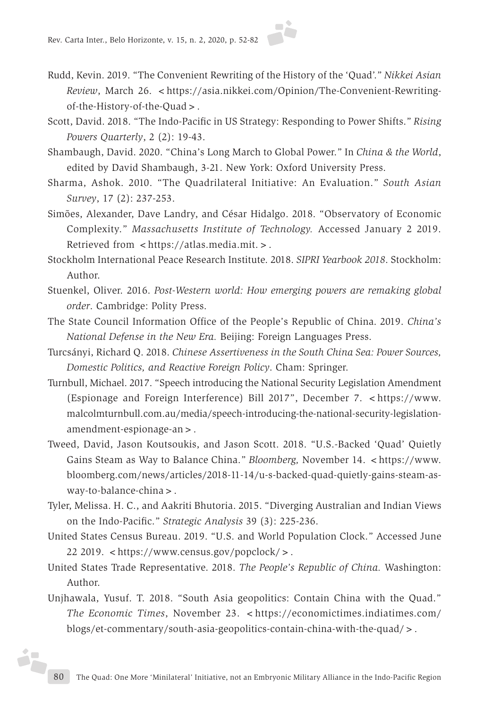

- Rudd, Kevin. 2019. "The Convenient Rewriting of the History of the 'Quad'." *Nikkei Asian Review*, March 26. <https://asia.nikkei.com/Opinion/The-Convenient-Rewritingof-the-History-of-the-Quad>.
- Scott, David. 2018. "The Indo-Pacific in US Strategy: Responding to Power Shifts." *Rising Powers Quarterly*, 2 (2): 19-43.
- Shambaugh, David. 2020. "China's Long March to Global Power." In *China & the World*, edited by David Shambaugh, 3-21. New York: Oxford University Press.
- Sharma, Ashok. 2010. "The Quadrilateral Initiative: An Evaluation." *South Asian Survey*, 17 (2): 237-253.
- Simões, Alexander, Dave Landry, and César Hidalgo. 2018. "Observatory of Economic Complexity." *Massachusetts Institute of Technology.* Accessed January 2 2019. Retrieved from <https://atlas.media.mit.>.
- Stockholm International Peace Research Institute. 2018. *SIPRI Yearbook 2018*. Stockholm: Author.
- Stuenkel, Oliver. 2016. *Post-Western world: How emerging powers are remaking global order*. Cambridge: Polity Press.
- The State Council Information Office of the People's Republic of China. 2019. *China's National Defense in the New Era.* Beijing: Foreign Languages Press.
- Turcsányi, Richard Q. 2018. *Chinese Assertiveness in the South China Sea: Power Sources, Domestic Politics, and Reactive Foreign Policy*. Cham: Springer.
- Turnbull, Michael. 2017. "Speech introducing the National Security Legislation Amendment (Espionage and Foreign Interference) Bill 2017", December 7. <https://www. malcolmturnbull.com.au/media/speech-introducing-the-national-security-legislationamendment-espionage-an>.
- Tweed, David, Jason Koutsoukis, and Jason Scott. 2018. "U.S.-Backed 'Quad' Quietly Gains Steam as Way to Balance China." *Bloomberg*, November 14. <https://www. bloomberg.com/news/articles/2018-11-14/u-s-backed-quad-quietly-gains-steam-asway-to-balance-china>.
- Tyler, Melissa. H. C., and Aakriti Bhutoria. 2015. "Diverging Australian and Indian Views on the Indo-Pacific." *Strategic Analysis* 39 (3): 225-236.
- United States Census Bureau. 2019. "U.S. and World Population Clock." Accessed June 22 2019. <https://www.census.gov/popclock/>.
- United States Trade Representative. 2018. *The People's Republic of China.* Washington: Author.
- Unjhawala, Yusuf. T. 2018. "South Asia geopolitics: Contain China with the Quad." *The Economic Times*, November 23. <https://economictimes.indiatimes.com/ blogs/et-commentary/south-asia-geopolitics-contain-china-with-the-quad/>.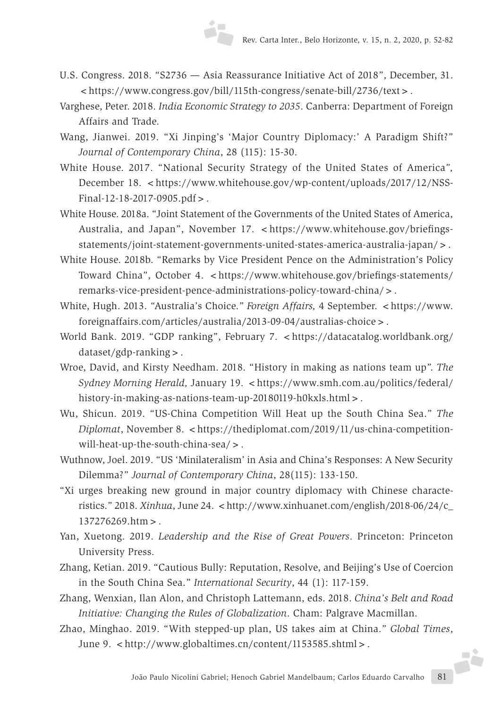- U.S. Congress. 2018. "S2736 Asia Reassurance Initiative Act of 2018", December, 31. <https://www.congress.gov/bill/115th-congress/senate-bill/2736/text>.
- Varghese, Peter. 2018. *India Economic Strategy to 2035*. Canberra: Department of Foreign Affairs and Trade.
- Wang, Jianwei. 2019. "Xi Jinping's 'Major Country Diplomacy:' A Paradigm Shift?" *Journal of Contemporary China*, 28 (115): 15-30.
- White House. 2017. "National Security Strategy of the United States of America*",*  December 18. <https://www.whitehouse.gov/wp-content/uploads/2017/12/NSS-Final-12-18-2017-0905.pdf>.
- White House. 2018a. "Joint Statement of the Governments of the United States of America, Australia, and Japan", November 17. <https://www.whitehouse.gov/briefingsstatements/joint-statement-governments-united-states-america-australia-japan/>.
- White House. 2018b. "Remarks by Vice President Pence on the Administration's Policy Toward China", October 4. <https://www.whitehouse.gov/briefings-statements/ remarks-vice-president-pence-administrations-policy-toward-china/>.
- White, Hugh. 2013. "Australia's Choice." *Foreign Affairs*, 4 September. <https://www. foreignaffairs.com/articles/australia/2013-09-04/australias-choice>.
- World Bank. 2019. "GDP ranking", February 7. <https://datacatalog.worldbank.org/ dataset/gdp-ranking>.
- Wroe, David, and Kirsty Needham. 2018. "History in making as nations team up". *The Sydney Morning Herald, January 19. <https://www.smh.com.au/politics/federal/* history-in-making-as-nations-team-up-20180119-h0kxls.html>.
- Wu, Shicun. 2019. "US-China Competition Will Heat up the South China Sea." *The Diplomat*, November 8. <https://thediplomat.com/2019/11/us-china-competitionwill-heat-up-the-south-china-sea/>.
- Wuthnow, Joel. 2019. "US 'Minilateralism' in Asia and China's Responses: A New Security Dilemma?" *Journal of Contemporary China*, 28(115): 133-150.
- "Xi urges breaking new ground in major country diplomacy with Chinese characteristics." 2018. *Xinhua*, June 24. < http://www.xinhuanet.com/english/2018-06/24/c\_ 137276269.htm>.
- Yan, Xuetong. 2019. *Leadership and the Rise of Great Powers*. Princeton: Princeton University Press.
- Zhang, Ketian. 2019. "Cautious Bully: Reputation, Resolve, and Beijing's Use of Coercion in the South China Sea." *International Security*, 44 (1): 117-159.
- Zhang, Wenxian, Ilan Alon, and Christoph Lattemann, eds. 2018. *China's Belt and Road Initiative: Changing the Rules of Globalization*. Cham: Palgrave Macmillan.
- João Paulo Nicolini Gabriel; Henoch Gabriel Mandelbaum; Carlos Eduardo Carvalho 81 Zhao, Minghao. 2019. "With stepped-up plan, US takes aim at China." *Global Times*, June 9. <http://www.globaltimes.cn/content/1153585.shtml>.